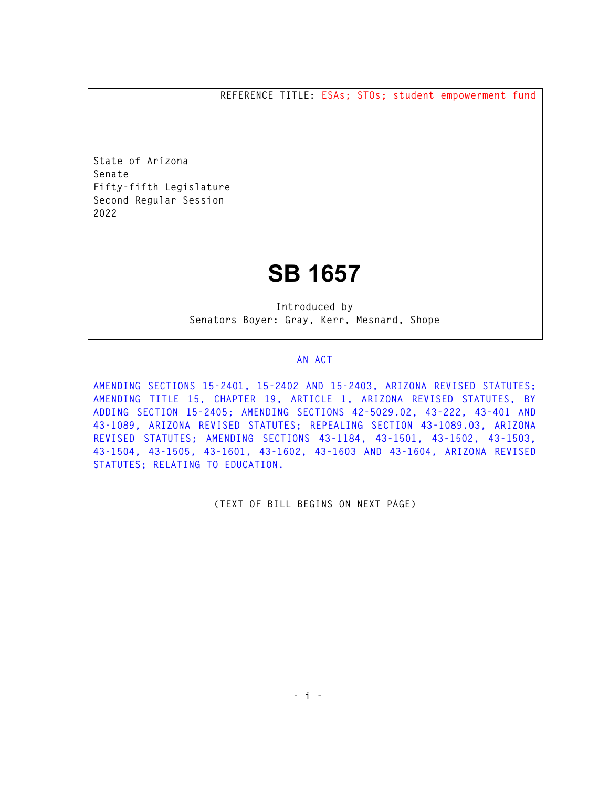**REFERENCE TITLE: ESAs; STOs; student empowerment fund** 

**State of Arizona Senate Fifty-fifth Legislature Second Regular Session 2022** 

# **SB 1657**

**Introduced by Senators Boyer: Gray, Kerr, Mesnard, Shope** 

#### **AN ACT**

**AMENDING SECTIONS 15-2401, 15-2402 AND 15-2403, ARIZONA REVISED STATUTES; AMENDING TITLE 15, CHAPTER 19, ARTICLE 1, ARIZONA REVISED STATUTES, BY ADDING SECTION 15-2405; AMENDING SECTIONS 42-5029.02, 43-222, 43-401 AND 43-1089, ARIZONA REVISED STATUTES; REPEALING SECTION 43-1089.03, ARIZONA REVISED STATUTES; AMENDING SECTIONS 43-1184, 43-1501, 43-1502, 43-1503, 43-1504, 43-1505, 43-1601, 43-1602, 43-1603 AND 43-1604, ARIZONA REVISED STATUTES; RELATING TO EDUCATION.** 

**(TEXT OF BILL BEGINS ON NEXT PAGE)**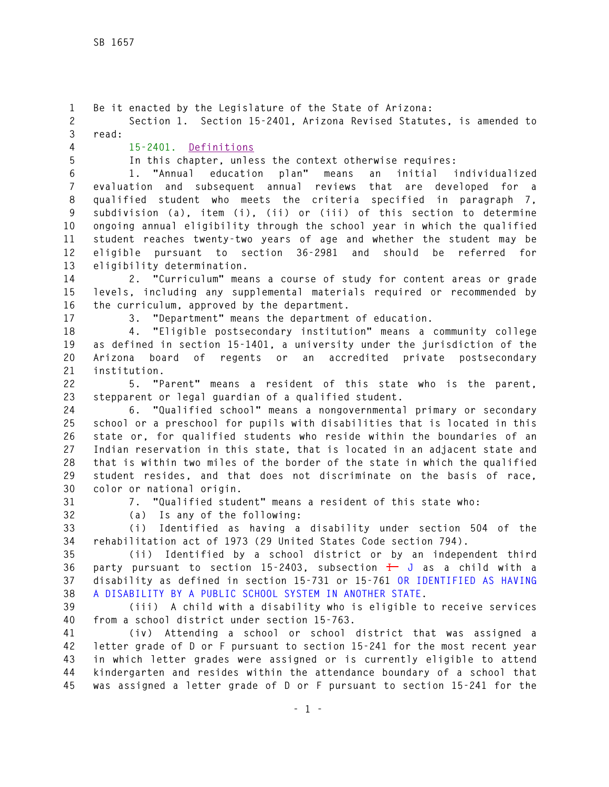**1 Be it enacted by the Legislature of the State of Arizona: 2 Section 1. Section 15-2401, Arizona Revised Statutes, is amended to 3 read: 4 15-2401. Definitions 5 In this chapter, unless the context otherwise requires: 6 1. "Annual education plan" means an initial individualized 7 evaluation and subsequent annual reviews that are developed for a 8 qualified student who meets the criteria specified in paragraph 7, 9 subdivision (a), item (i), (ii) or (iii) of this section to determine 10 ongoing annual eligibility through the school year in which the qualified 11 student reaches twenty-two years of age and whether the student may be 12 eligible pursuant to section 36-2981 and should be referred for 13 eligibility determination. 14 2. "Curriculum" means a course of study for content areas or grade 15 levels, including any supplemental materials required or recommended by 16 the curriculum, approved by the department. 17 3. "Department" means the department of education. 18 4. "Eligible postsecondary institution" means a community college 19 as defined in section 15-1401, a university under the jurisdiction of the 20 Arizona board of regents or an accredited private postsecondary 21 institution. 22 5. "Parent" means a resident of this state who is the parent, 23 stepparent or legal guardian of a qualified student. 24 6. "Qualified school" means a nongovernmental primary or secondary 25 school or a preschool for pupils with disabilities that is located in this 26 state or, for qualified students who reside within the boundaries of an 27 Indian reservation in this state, that is located in an adjacent state and 28 that is within two miles of the border of the state in which the qualified 29 student resides, and that does not discriminate on the basis of race, 30 color or national origin. 31 7. "Qualified student" means a resident of this state who: 32 (a) Is any of the following: 33 (i) Identified as having a disability under section 504 of the 34 rehabilitation act of 1973 (29 United States Code section 794). 35 (ii) Identified by a school district or by an independent third 36 party pursuant to section 15-2403, subsection I J as a child with a 37 disability as defined in section 15-731 or 15-761 OR IDENTIFIED AS HAVING 38 A DISABILITY BY A PUBLIC SCHOOL SYSTEM IN ANOTHER STATE. 39 (iii) A child with a disability who is eligible to receive services 40 from a school district under section 15-763. 41 (iv) Attending a school or school district that was assigned a 42 letter grade of D or F pursuant to section 15-241 for the most recent year 43 in which letter grades were assigned or is currently eligible to attend 44 kindergarten and resides within the attendance boundary of a school that 45 was assigned a letter grade of D or F pursuant to section 15-241 for the**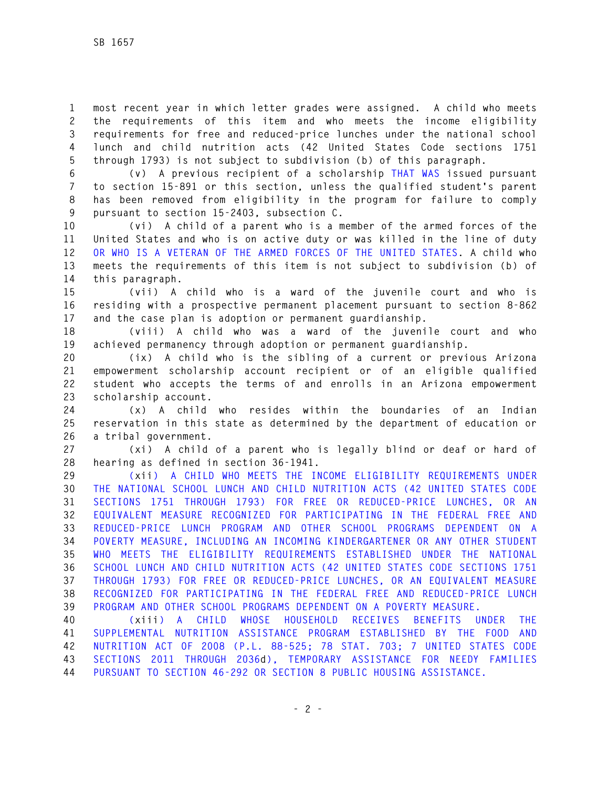**1 most recent year in which letter grades were assigned. A child who meets 2 the requirements of this item and who meets the income eligibility 3 requirements for free and reduced-price lunches under the national school 4 lunch and child nutrition acts (42 United States Code sections 1751 5 through 1793) is not subject to subdivision (b) of this paragraph.** 

**6 (v) A previous recipient of a scholarship THAT WAS issued pursuant 7 to section 15-891 or this section, unless the qualified student's parent 8 has been removed from eligibility in the program for failure to comply 9 pursuant to section 15-2403, subsection C.** 

**10 (vi) A child of a parent who is a member of the armed forces of the 11 United States and who is on active duty or was killed in the line of duty 12 OR WHO IS A VETERAN OF THE ARMED FORCES OF THE UNITED STATES. A child who 13 meets the requirements of this item is not subject to subdivision (b) of 14 this paragraph.** 

**15 (vii) A child who is a ward of the juvenile court and who is 16 residing with a prospective permanent placement pursuant to section 8-862 17 and the case plan is adoption or permanent guardianship.** 

**18 (viii) A child who was a ward of the juvenile court and who 19 achieved permanency through adoption or permanent guardianship.** 

**20 (ix) A child who is the sibling of a current or previous Arizona 21 empowerment scholarship account recipient or of an eligible qualified 22 student who accepts the terms of and enrolls in an Arizona empowerment 23 scholarship account.** 

**24 (x) A child who resides within the boundaries of an Indian 25 reservation in this state as determined by the department of education or 26 a tribal government.** 

**27 (xi) A child of a parent who is legally blind or deaf or hard of 28 hearing as defined in section 36-1941.** 

**29 (xii) A CHILD WHO MEETS THE INCOME ELIGIBILITY REQUIREMENTS UNDER 30 THE NATIONAL SCHOOL LUNCH AND CHILD NUTRITION ACTS (42 UNITED STATES CODE 31 SECTIONS 1751 THROUGH 1793) FOR FREE OR REDUCED-PRICE LUNCHES, OR AN 32 EQUIVALENT MEASURE RECOGNIZED FOR PARTICIPATING IN THE FEDERAL FREE AND 33 REDUCED-PRICE LUNCH PROGRAM AND OTHER SCHOOL PROGRAMS DEPENDENT ON A 34 POVERTY MEASURE, INCLUDING AN INCOMING KINDERGARTENER OR ANY OTHER STUDENT 35 WHO MEETS THE ELIGIBILITY REQUIREMENTS ESTABLISHED UNDER THE NATIONAL 36 SCHOOL LUNCH AND CHILD NUTRITION ACTS (42 UNITED STATES CODE SECTIONS 1751 37 THROUGH 1793) FOR FREE OR REDUCED-PRICE LUNCHES, OR AN EQUIVALENT MEASURE 38 RECOGNIZED FOR PARTICIPATING IN THE FEDERAL FREE AND REDUCED-PRICE LUNCH 39 PROGRAM AND OTHER SCHOOL PROGRAMS DEPENDENT ON A POVERTY MEASURE.** 

**40 (xiii) A CHILD WHOSE HOUSEHOLD RECEIVES BENEFITS UNDER THE 41 SUPPLEMENTAL NUTRITION ASSISTANCE PROGRAM ESTABLISHED BY THE FOOD AND 42 NUTRITION ACT OF 2008 (P.L. 88-525; 78 STAT. 703; 7 UNITED STATES CODE 43 SECTIONS 2011 THROUGH 2036d), TEMPORARY ASSISTANCE FOR NEEDY FAMILIES 44 PURSUANT TO SECTION 46-292 OR SECTION 8 PUBLIC HOUSING ASSISTANCE.**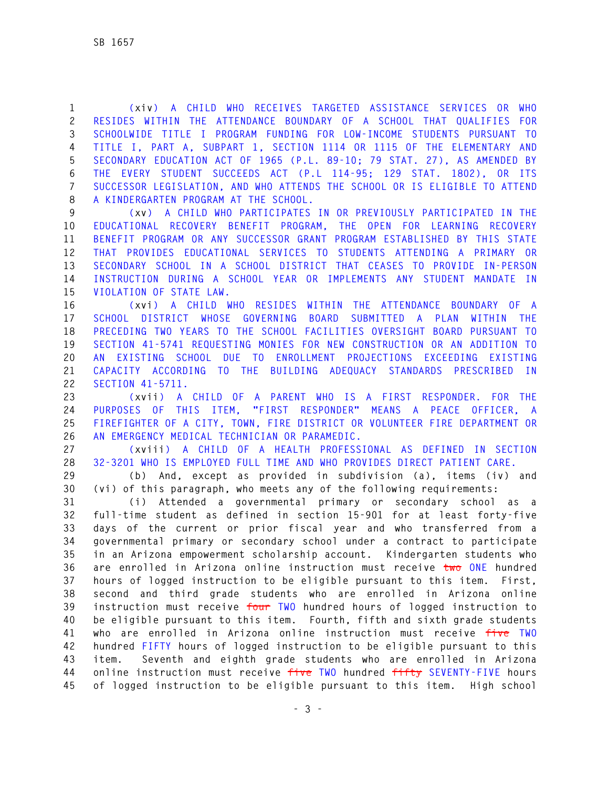**1 (xiv) A CHILD WHO RECEIVES TARGETED ASSISTANCE SERVICES OR WHO 2 RESIDES WITHIN THE ATTENDANCE BOUNDARY OF A SCHOOL THAT QUALIFIES FOR 3 SCHOOLWIDE TITLE I PROGRAM FUNDING FOR LOW-INCOME STUDENTS PURSUANT TO 4 TITLE I, PART A, SUBPART 1, SECTION 1114 OR 1115 OF THE ELEMENTARY AND 5 SECONDARY EDUCATION ACT OF 1965 (P.L. 89-10; 79 STAT. 27), AS AMENDED BY 6 THE EVERY STUDENT SUCCEEDS ACT (P.L 114-95; 129 STAT. 1802), OR ITS 7 SUCCESSOR LEGISLATION, AND WHO ATTENDS THE SCHOOL OR IS ELIGIBLE TO ATTEND 8 A KINDERGARTEN PROGRAM AT THE SCHOOL.** 

**9 (xv) A CHILD WHO PARTICIPATES IN OR PREVIOUSLY PARTICIPATED IN THE 10 EDUCATIONAL RECOVERY BENEFIT PROGRAM, THE OPEN FOR LEARNING RECOVERY 11 BENEFIT PROGRAM OR ANY SUCCESSOR GRANT PROGRAM ESTABLISHED BY THIS STATE 12 THAT PROVIDES EDUCATIONAL SERVICES TO STUDENTS ATTENDING A PRIMARY OR 13 SECONDARY SCHOOL IN A SCHOOL DISTRICT THAT CEASES TO PROVIDE IN-PERSON 14 INSTRUCTION DURING A SCHOOL YEAR OR IMPLEMENTS ANY STUDENT MANDATE IN 15 VIOLATION OF STATE LAW.** 

**16 (xvi) A CHILD WHO RESIDES WITHIN THE ATTENDANCE BOUNDARY OF A 17 SCHOOL DISTRICT WHOSE GOVERNING BOARD SUBMITTED A PLAN WITHIN THE 18 PRECEDING TWO YEARS TO THE SCHOOL FACILITIES OVERSIGHT BOARD PURSUANT TO 19 SECTION 41-5741 REQUESTING MONIES FOR NEW CONSTRUCTION OR AN ADDITION TO 20 AN EXISTING SCHOOL DUE TO ENROLLMENT PROJECTIONS EXCEEDING EXISTING 21 CAPACITY ACCORDING TO THE BUILDING ADEQUACY STANDARDS PRESCRIBED IN 22 SECTION 41-5711.** 

**23 (xvii) A CHILD OF A PARENT WHO IS A FIRST RESPONDER. FOR THE 24 PURPOSES OF THIS ITEM, "FIRST RESPONDER" MEANS A PEACE OFFICER, A 25 FIREFIGHTER OF A CITY, TOWN, FIRE DISTRICT OR VOLUNTEER FIRE DEPARTMENT OR 26 AN EMERGENCY MEDICAL TECHNICIAN OR PARAMEDIC.** 

**27 (xviii) A CHILD OF A HEALTH PROFESSIONAL AS DEFINED IN SECTION 28 32-3201 WHO IS EMPLOYED FULL TIME AND WHO PROVIDES DIRECT PATIENT CARE.** 

**29 (b) And, except as provided in subdivision (a), items (iv) and 30 (vi) of this paragraph, who meets any of the following requirements:** 

**31 (i) Attended a governmental primary or secondary school as a 32 full-time student as defined in section 15-901 for at least forty-five 33 days of the current or prior fiscal year and who transferred from a 34 governmental primary or secondary school under a contract to participate 35 in an Arizona empowerment scholarship account. Kindergarten students who 36 are enrolled in Arizona online instruction must receive two ONE hundred 37 hours of logged instruction to be eligible pursuant to this item. First, 38 second and third grade students who are enrolled in Arizona online 39 instruction must receive four TWO hundred hours of logged instruction to 40 be eligible pursuant to this item. Fourth, fifth and sixth grade students 41 who are enrolled in Arizona online instruction must receive five TWO 42 hundred FIFTY hours of logged instruction to be eligible pursuant to this 43 item. Seventh and eighth grade students who are enrolled in Arizona 44 online instruction must receive five TWO hundred fifty SEVENTY-FIVE hours 45 of logged instruction to be eligible pursuant to this item. High school**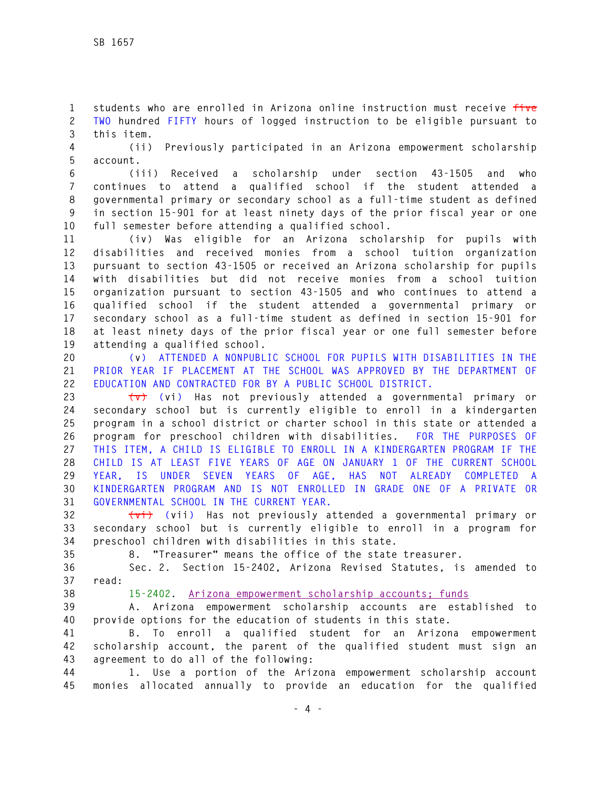**1 students who are enrolled in Arizona online instruction must receive five 2 TWO hundred FIFTY hours of logged instruction to be eligible pursuant to 3 this item.** 

**4 (ii) Previously participated in an Arizona empowerment scholarship 5 account.** 

**6 (iii) Received a scholarship under section 43-1505 and who 7 continues to attend a qualified school if the student attended a 8 governmental primary or secondary school as a full-time student as defined 9 in section 15-901 for at least ninety days of the prior fiscal year or one 10 full semester before attending a qualified school.** 

**11 (iv) Was eligible for an Arizona scholarship for pupils with 12 disabilities and received monies from a school tuition organization 13 pursuant to section 43-1505 or received an Arizona scholarship for pupils 14 with disabilities but did not receive monies from a school tuition 15 organization pursuant to section 43-1505 and who continues to attend a 16 qualified school if the student attended a governmental primary or 17 secondary school as a full-time student as defined in section 15-901 for 18 at least ninety days of the prior fiscal year or one full semester before 19 attending a qualified school.** 

**20 (v) ATTENDED A NONPUBLIC SCHOOL FOR PUPILS WITH DISABILITIES IN THE 21 PRIOR YEAR IF PLACEMENT AT THE SCHOOL WAS APPROVED BY THE DEPARTMENT OF 22 EDUCATION AND CONTRACTED FOR BY A PUBLIC SCHOOL DISTRICT.** 

**23 (v) (vi) Has not previously attended a governmental primary or 24 secondary school but is currently eligible to enroll in a kindergarten 25 program in a school district or charter school in this state or attended a 26 program for preschool children with disabilities. FOR THE PURPOSES OF 27 THIS ITEM, A CHILD IS ELIGIBLE TO ENROLL IN A KINDERGARTEN PROGRAM IF THE 28 CHILD IS AT LEAST FIVE YEARS OF AGE ON JANUARY 1 OF THE CURRENT SCHOOL 29 YEAR, IS UNDER SEVEN YEARS OF AGE, HAS NOT ALREADY COMPLETED A 30 KINDERGARTEN PROGRAM AND IS NOT ENROLLED IN GRADE ONE OF A PRIVATE OR 31 GOVERNMENTAL SCHOOL IN THE CURRENT YEAR.** 

**32 (vi) (vii) Has not previously attended a governmental primary or 33 secondary school but is currently eligible to enroll in a program for 34 preschool children with disabilities in this state.** 

**35 8. "Treasurer" means the office of the state treasurer.** 

**36 Sec. 2. Section 15-2402, Arizona Revised Statutes, is amended to 37 read:** 

**38 15-2402. Arizona empowerment scholarship accounts; funds**

**39 A. Arizona empowerment scholarship accounts are established to 40 provide options for the education of students in this state.** 

**41 B. To enroll a qualified student for an Arizona empowerment 42 scholarship account, the parent of the qualified student must sign an 43 agreement to do all of the following:** 

**44 1. Use a portion of the Arizona empowerment scholarship account 45 monies allocated annually to provide an education for the qualified**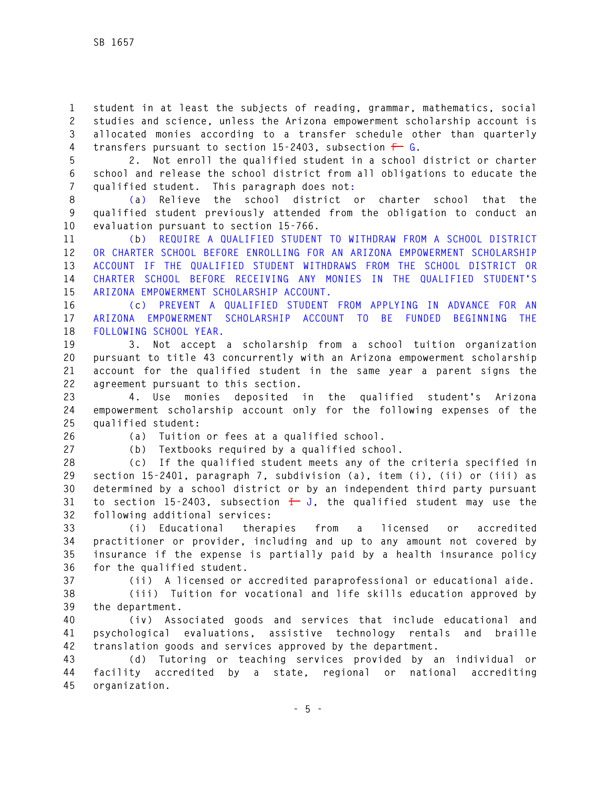**1 student in at least the subjects of reading, grammar, mathematics, social 2 studies and science, unless the Arizona empowerment scholarship account is 3 allocated monies according to a transfer schedule other than quarterly 4 transfers pursuant to section 15-2403, subsection F G.** 

**5 2. Not enroll the qualified student in a school district or charter 6 school and release the school district from all obligations to educate the 7 qualified student. This paragraph does not:** 

**8 (a) Relieve the school district or charter school that the 9 qualified student previously attended from the obligation to conduct an 10 evaluation pursuant to section 15-766.** 

**11 (b) REQUIRE A QUALIFIED STUDENT TO WITHDRAW FROM A SCHOOL DISTRICT 12 OR CHARTER SCHOOL BEFORE ENROLLING FOR AN ARIZONA EMPOWERMENT SCHOLARSHIP 13 ACCOUNT IF THE QUALIFIED STUDENT WITHDRAWS FROM THE SCHOOL DISTRICT OR 14 CHARTER SCHOOL BEFORE RECEIVING ANY MONIES IN THE QUALIFIED STUDENT'S 15 ARIZONA EMPOWERMENT SCHOLARSHIP ACCOUNT.** 

**16 (c) PREVENT A QUALIFIED STUDENT FROM APPLYING IN ADVANCE FOR AN 17 ARIZONA EMPOWERMENT SCHOLARSHIP ACCOUNT TO BE FUNDED BEGINNING THE 18 FOLLOWING SCHOOL YEAR.** 

**19 3. Not accept a scholarship from a school tuition organization 20 pursuant to title 43 concurrently with an Arizona empowerment scholarship 21 account for the qualified student in the same year a parent signs the 22 agreement pursuant to this section.** 

**23 4. Use monies deposited in the qualified student's Arizona 24 empowerment scholarship account only for the following expenses of the 25 qualified student:** 

**26 (a) Tuition or fees at a qualified school.** 

**27 (b) Textbooks required by a qualified school.** 

**28 (c) If the qualified student meets any of the criteria specified in 29 section 15-2401, paragraph 7, subdivision (a), item (i), (ii) or (iii) as 30 determined by a school district or by an independent third party pursuant 31 to section 15-2403, subsection I J, the qualified student may use the 32 following additional services:** 

**33 (i) Educational therapies from a licensed or accredited 34 practitioner or provider, including and up to any amount not covered by 35 insurance if the expense is partially paid by a health insurance policy 36 for the qualified student.** 

**37 (ii) A licensed or accredited paraprofessional or educational aide.** 

**38 (iii) Tuition for vocational and life skills education approved by 39 the department.** 

**40 (iv) Associated goods and services that include educational and 41 psychological evaluations, assistive technology rentals and braille 42 translation goods and services approved by the department.** 

**43 (d) Tutoring or teaching services provided by an individual or 44 facility accredited by a state, regional or national accrediting 45 organization.**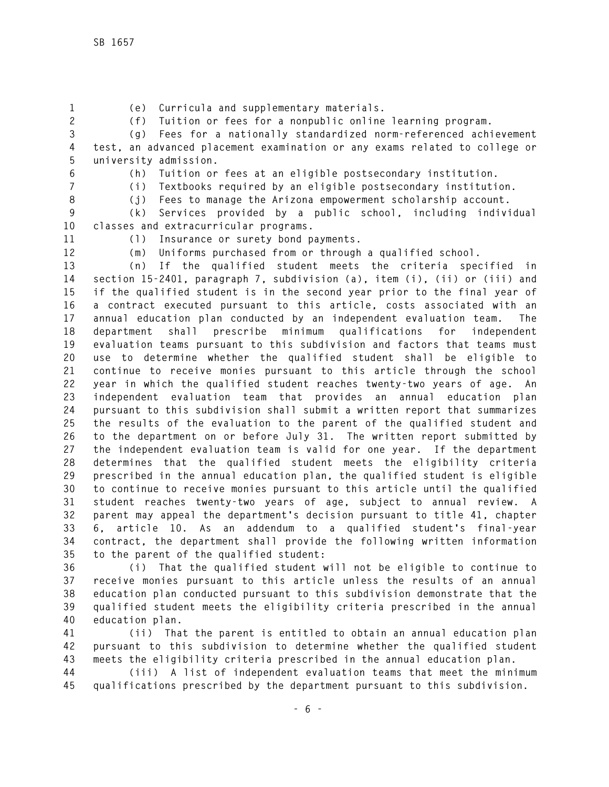- 
- **1 (e) Curricula and supplementary materials.**

**2 (f) Tuition or fees for a nonpublic online learning program.** 

**3 (g) Fees for a nationally standardized norm-referenced achievement 4 test, an advanced placement examination or any exams related to college or 5 university admission.** 

**6 (h) Tuition or fees at an eligible postsecondary institution.** 

**7 (i) Textbooks required by an eligible postsecondary institution.** 

**8 (j) Fees to manage the Arizona empowerment scholarship account.** 

**9 (k) Services provided by a public school, including individual 10 classes and extracurricular programs.** 

**11 (l) Insurance or surety bond payments.** 

**12 (m) Uniforms purchased from or through a qualified school.** 

**13 (n) If the qualified student meets the criteria specified in 14 section 15-2401, paragraph 7, subdivision (a), item (i), (ii) or (iii) and 15 if the qualified student is in the second year prior to the final year of 16 a contract executed pursuant to this article, costs associated with an 17 annual education plan conducted by an independent evaluation team. The 18 department shall prescribe minimum qualifications for independent 19 evaluation teams pursuant to this subdivision and factors that teams must 20 use to determine whether the qualified student shall be eligible to 21 continue to receive monies pursuant to this article through the school 22 year in which the qualified student reaches twenty-two years of age. An 23 independent evaluation team that provides an annual education plan 24 pursuant to this subdivision shall submit a written report that summarizes 25 the results of the evaluation to the parent of the qualified student and 26 to the department on or before July 31. The written report submitted by 27 the independent evaluation team is valid for one year. If the department 28 determines that the qualified student meets the eligibility criteria 29 prescribed in the annual education plan, the qualified student is eligible 30 to continue to receive monies pursuant to this article until the qualified 31 student reaches twenty-two years of age, subject to annual review. A 32 parent may appeal the department's decision pursuant to title 41, chapter 33 6, article 10. As an addendum to a qualified student's final-year 34 contract, the department shall provide the following written information 35 to the parent of the qualified student:** 

**36 (i) That the qualified student will not be eligible to continue to 37 receive monies pursuant to this article unless the results of an annual 38 education plan conducted pursuant to this subdivision demonstrate that the 39 qualified student meets the eligibility criteria prescribed in the annual 40 education plan.** 

**41 (ii) That the parent is entitled to obtain an annual education plan 42 pursuant to this subdivision to determine whether the qualified student 43 meets the eligibility criteria prescribed in the annual education plan.** 

**44 (iii) A list of independent evaluation teams that meet the minimum 45 qualifications prescribed by the department pursuant to this subdivision.**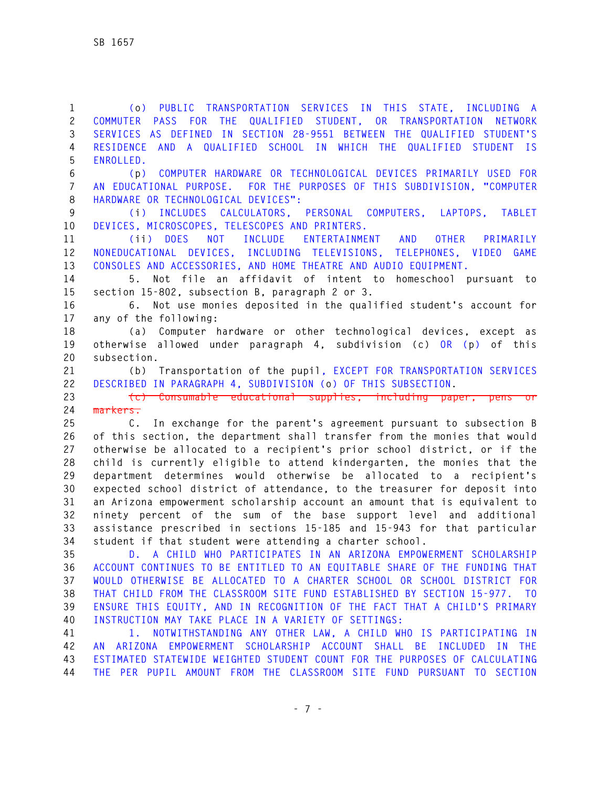**1 (o) PUBLIC TRANSPORTATION SERVICES IN THIS STATE, INCLUDING A 2 COMMUTER PASS FOR THE QUALIFIED STUDENT, OR TRANSPORTATION NETWORK 3 SERVICES AS DEFINED IN SECTION 28-9551 BETWEEN THE QUALIFIED STUDENT'S 4 RESIDENCE AND A QUALIFIED SCHOOL IN WHICH THE QUALIFIED STUDENT IS 5 ENROLLED.** 

**6 (p) COMPUTER HARDWARE OR TECHNOLOGICAL DEVICES PRIMARILY USED FOR 7 AN EDUCATIONAL PURPOSE. FOR THE PURPOSES OF THIS SUBDIVISION, "COMPUTER 8 HARDWARE OR TECHNOLOGICAL DEVICES":** 

**9 (i) INCLUDES CALCULATORS, PERSONAL COMPUTERS, LAPTOPS, TABLET 10 DEVICES, MICROSCOPES, TELESCOPES AND PRINTERS.** 

**11 (ii) DOES NOT INCLUDE ENTERTAINMENT AND OTHER PRIMARILY 12 NONEDUCATIONAL DEVICES, INCLUDING TELEVISIONS, TELEPHONES, VIDEO GAME 13 CONSOLES AND ACCESSORIES, AND HOME THEATRE AND AUDIO EQUIPMENT.** 

**14 5. Not file an affidavit of intent to homeschool pursuant to 15 section 15-802, subsection B, paragraph 2 or 3.** 

**16 6. Not use monies deposited in the qualified student's account for 17 any of the following:** 

**18 (a) Computer hardware or other technological devices, except as 19 otherwise allowed under paragraph 4, subdivision (c) OR (p) of this 20 subsection.** 

**21 (b) Transportation of the pupil, EXCEPT FOR TRANSPORTATION SERVICES 22 DESCRIBED IN PARAGRAPH 4, SUBDIVISION (o) OF THIS SUBSECTION.** 

23 **(c)** Consumable educational supplies, including paper, pens **24 markers.** 

**25 C. In exchange for the parent's agreement pursuant to subsection B 26 of this section, the department shall transfer from the monies that would 27 otherwise be allocated to a recipient's prior school district, or if the 28 child is currently eligible to attend kindergarten, the monies that the 29 department determines would otherwise be allocated to a recipient's 30 expected school district of attendance, to the treasurer for deposit into 31 an Arizona empowerment scholarship account an amount that is equivalent to 32 ninety percent of the sum of the base support level and additional 33 assistance prescribed in sections 15-185 and 15-943 for that particular 34 student if that student were attending a charter school.** 

**35 D. A CHILD WHO PARTICIPATES IN AN ARIZONA EMPOWERMENT SCHOLARSHIP 36 ACCOUNT CONTINUES TO BE ENTITLED TO AN EQUITABLE SHARE OF THE FUNDING THAT 37 WOULD OTHERWISE BE ALLOCATED TO A CHARTER SCHOOL OR SCHOOL DISTRICT FOR 38 THAT CHILD FROM THE CLASSROOM SITE FUND ESTABLISHED BY SECTION 15-977. TO 39 ENSURE THIS EQUITY, AND IN RECOGNITION OF THE FACT THAT A CHILD'S PRIMARY 40 INSTRUCTION MAY TAKE PLACE IN A VARIETY OF SETTINGS:** 

**41 1. NOTWITHSTANDING ANY OTHER LAW, A CHILD WHO IS PARTICIPATING IN 42 AN ARIZONA EMPOWERMENT SCHOLARSHIP ACCOUNT SHALL BE INCLUDED IN THE 43 ESTIMATED STATEWIDE WEIGHTED STUDENT COUNT FOR THE PURPOSES OF CALCULATING 44 THE PER PUPIL AMOUNT FROM THE CLASSROOM SITE FUND PURSUANT TO SECTION**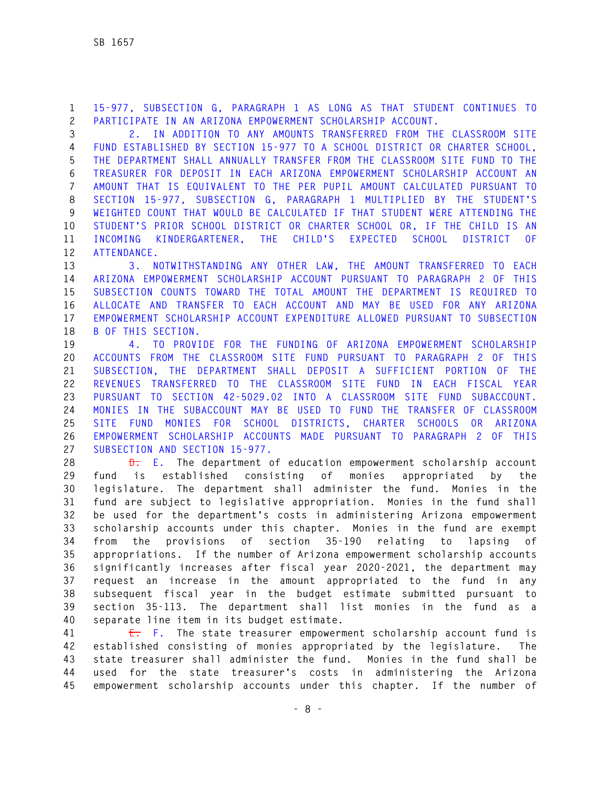**1 15-977, SUBSECTION G, PARAGRAPH 1 AS LONG AS THAT STUDENT CONTINUES TO 2 PARTICIPATE IN AN ARIZONA EMPOWERMENT SCHOLARSHIP ACCOUNT.** 

**3 2. IN ADDITION TO ANY AMOUNTS TRANSFERRED FROM THE CLASSROOM SITE 4 FUND ESTABLISHED BY SECTION 15-977 TO A SCHOOL DISTRICT OR CHARTER SCHOOL, 5 THE DEPARTMENT SHALL ANNUALLY TRANSFER FROM THE CLASSROOM SITE FUND TO THE 6 TREASURER FOR DEPOSIT IN EACH ARIZONA EMPOWERMENT SCHOLARSHIP ACCOUNT AN 7 AMOUNT THAT IS EQUIVALENT TO THE PER PUPIL AMOUNT CALCULATED PURSUANT TO 8 SECTION 15-977, SUBSECTION G, PARAGRAPH 1 MULTIPLIED BY THE STUDENT'S 9 WEIGHTED COUNT THAT WOULD BE CALCULATED IF THAT STUDENT WERE ATTENDING THE 10 STUDENT'S PRIOR SCHOOL DISTRICT OR CHARTER SCHOOL OR, IF THE CHILD IS AN 11 INCOMING KINDERGARTENER, THE CHILD'S EXPECTED SCHOOL DISTRICT OF 12 ATTENDANCE.** 

**13 3. NOTWITHSTANDING ANY OTHER LAW, THE AMOUNT TRANSFERRED TO EACH 14 ARIZONA EMPOWERMENT SCHOLARSHIP ACCOUNT PURSUANT TO PARAGRAPH 2 OF THIS 15 SUBSECTION COUNTS TOWARD THE TOTAL AMOUNT THE DEPARTMENT IS REQUIRED TO 16 ALLOCATE AND TRANSFER TO EACH ACCOUNT AND MAY BE USED FOR ANY ARIZONA 17 EMPOWERMENT SCHOLARSHIP ACCOUNT EXPENDITURE ALLOWED PURSUANT TO SUBSECTION 18 B OF THIS SECTION.** 

**19 4. TO PROVIDE FOR THE FUNDING OF ARIZONA EMPOWERMENT SCHOLARSHIP 20 ACCOUNTS FROM THE CLASSROOM SITE FUND PURSUANT TO PARAGRAPH 2 OF THIS 21 SUBSECTION, THE DEPARTMENT SHALL DEPOSIT A SUFFICIENT PORTION OF THE 22 REVENUES TRANSFERRED TO THE CLASSROOM SITE FUND IN EACH FISCAL YEAR 23 PURSUANT TO SECTION 42-5029.02 INTO A CLASSROOM SITE FUND SUBACCOUNT. 24 MONIES IN THE SUBACCOUNT MAY BE USED TO FUND THE TRANSFER OF CLASSROOM 25 SITE FUND MONIES FOR SCHOOL DISTRICTS, CHARTER SCHOOLS OR ARIZONA 26 EMPOWERMENT SCHOLARSHIP ACCOUNTS MADE PURSUANT TO PARAGRAPH 2 OF THIS 27 SUBSECTION AND SECTION 15-977.** 

**28 D. E. The department of education empowerment scholarship account 29 fund is established consisting of monies appropriated by the 30 legislature. The department shall administer the fund. Monies in the 31 fund are subject to legislative appropriation. Monies in the fund shall 32 be used for the department's costs in administering Arizona empowerment 33 scholarship accounts under this chapter. Monies in the fund are exempt 34 from the provisions of section 35-190 relating to lapsing of 35 appropriations. If the number of Arizona empowerment scholarship accounts 36 significantly increases after fiscal year 2020-2021, the department may 37 request an increase in the amount appropriated to the fund in any 38 subsequent fiscal year in the budget estimate submitted pursuant to 39 section 35-113. The department shall list monies in the fund as a 40 separate line item in its budget estimate.** 

**41 E. F. The state treasurer empowerment scholarship account fund is 42 established consisting of monies appropriated by the legislature. The 43 state treasurer shall administer the fund. Monies in the fund shall be 44 used for the state treasurer's costs in administering the Arizona 45 empowerment scholarship accounts under this chapter. If the number of**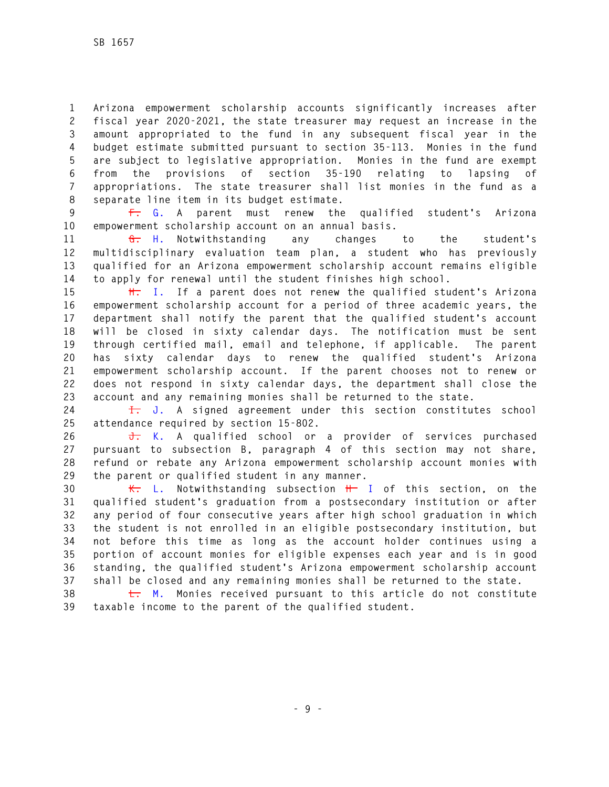**1 Arizona empowerment scholarship accounts significantly increases after 2 fiscal year 2020-2021, the state treasurer may request an increase in the 3 amount appropriated to the fund in any subsequent fiscal year in the 4 budget estimate submitted pursuant to section 35-113. Monies in the fund 5 are subject to legislative appropriation. Monies in the fund are exempt 6 from the provisions of section 35-190 relating to lapsing of 7 appropriations. The state treasurer shall list monies in the fund as a 8 separate line item in its budget estimate.** 

**9 F. G. A parent must renew the qualified student's Arizona 10 empowerment scholarship account on an annual basis.** 

**11 G. H. Notwithstanding any changes to the student's 12 multidisciplinary evaluation team plan, a student who has previously 13 qualified for an Arizona empowerment scholarship account remains eligible 14 to apply for renewal until the student finishes high school.** 

**15 H. I. If a parent does not renew the qualified student's Arizona 16 empowerment scholarship account for a period of three academic years, the 17 department shall notify the parent that the qualified student's account 18 will be closed in sixty calendar days. The notification must be sent 19 through certified mail, email and telephone, if applicable. The parent 20 has sixty calendar days to renew the qualified student's Arizona 21 empowerment scholarship account. If the parent chooses not to renew or 22 does not respond in sixty calendar days, the department shall close the 23 account and any remaining monies shall be returned to the state.** 

**24 I. J. A signed agreement under this section constitutes school 25 attendance required by section 15-802.** 

**26 J. K. A qualified school or a provider of services purchased 27 pursuant to subsection B, paragraph 4 of this section may not share, 28 refund or rebate any Arizona empowerment scholarship account monies with 29 the parent or qualified student in any manner.** 

**30 K. L. Notwithstanding subsection H I of this section, on the 31 qualified student's graduation from a postsecondary institution or after 32 any period of four consecutive years after high school graduation in which 33 the student is not enrolled in an eligible postsecondary institution, but 34 not before this time as long as the account holder continues using a 35 portion of account monies for eligible expenses each year and is in good 36 standing, the qualified student's Arizona empowerment scholarship account 37 shall be closed and any remaining monies shall be returned to the state.** 

**38 L. M. Monies received pursuant to this article do not constitute 39 taxable income to the parent of the qualified student.**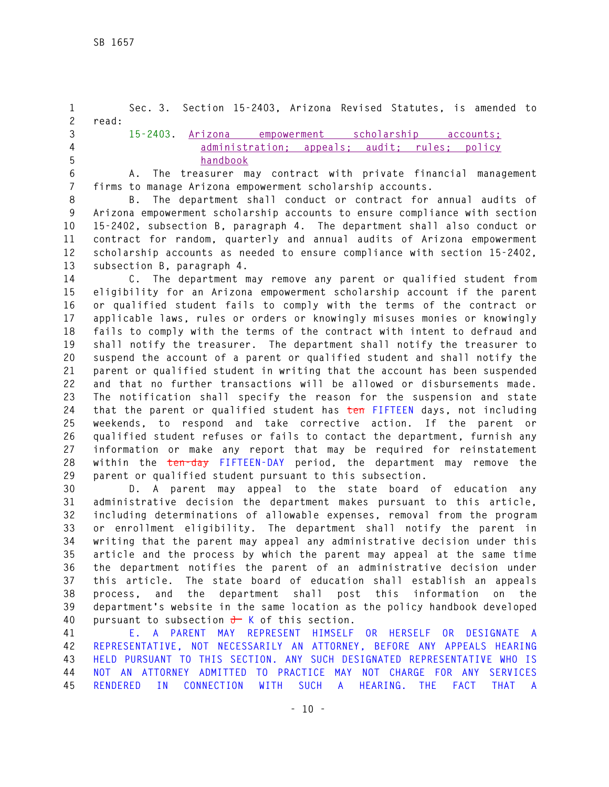**1 Sec. 3. Section 15-2403, Arizona Revised Statutes, is amended to 2 read: 3 15-2403. Arizona empowerment scholarship accounts; 4 administration; appeals; audit; rules; policy 5 handbook 6 A. The treasurer may contract with private financial management** 

**7 firms to manage Arizona empowerment scholarship accounts. 8 B. The department shall conduct or contract for annual audits of 9 Arizona empowerment scholarship accounts to ensure compliance with section 10 15-2402, subsection B, paragraph 4. The department shall also conduct or 11 contract for random, quarterly and annual audits of Arizona empowerment 12 scholarship accounts as needed to ensure compliance with section 15-2402, 13 subsection B, paragraph 4.** 

**14 C. The department may remove any parent or qualified student from 15 eligibility for an Arizona empowerment scholarship account if the parent 16 or qualified student fails to comply with the terms of the contract or 17 applicable laws, rules or orders or knowingly misuses monies or knowingly 18 fails to comply with the terms of the contract with intent to defraud and 19 shall notify the treasurer. The department shall notify the treasurer to 20 suspend the account of a parent or qualified student and shall notify the 21 parent or qualified student in writing that the account has been suspended 22 and that no further transactions will be allowed or disbursements made. 23 The notification shall specify the reason for the suspension and state 24 that the parent or qualified student has ten FIFTEEN days, not including 25 weekends, to respond and take corrective action. If the parent or 26 qualified student refuses or fails to contact the department, furnish any 27 information or make any report that may be required for reinstatement 28 within the ten-day FIFTEEN-DAY period, the department may remove the 29 parent or qualified student pursuant to this subsection.** 

**30 D. A parent may appeal to the state board of education any 31 administrative decision the department makes pursuant to this article, 32 including determinations of allowable expenses, removal from the program 33 or enrollment eligibility. The department shall notify the parent in 34 writing that the parent may appeal any administrative decision under this 35 article and the process by which the parent may appeal at the same time 36 the department notifies the parent of an administrative decision under 37 this article. The state board of education shall establish an appeals 38 process, and the department shall post this information on the 39 department's website in the same location as the policy handbook developed 40 pursuant to subsection J K of this section.** 

**41 E. A PARENT MAY REPRESENT HIMSELF OR HERSELF OR DESIGNATE A 42 REPRESENTATIVE, NOT NECESSARILY AN ATTORNEY, BEFORE ANY APPEALS HEARING 43 HELD PURSUANT TO THIS SECTION. ANY SUCH DESIGNATED REPRESENTATIVE WHO IS 44 NOT AN ATTORNEY ADMITTED TO PRACTICE MAY NOT CHARGE FOR ANY SERVICES 45 RENDERED IN CONNECTION WITH SUCH A HEARING. THE FACT THAT A**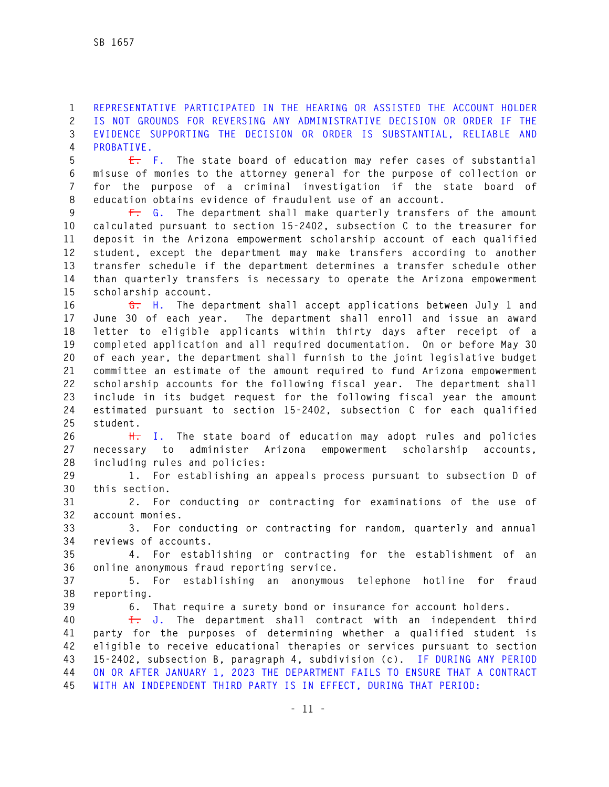**1 REPRESENTATIVE PARTICIPATED IN THE HEARING OR ASSISTED THE ACCOUNT HOLDER 2 IS NOT GROUNDS FOR REVERSING ANY ADMINISTRATIVE DECISION OR ORDER IF THE 3 EVIDENCE SUPPORTING THE DECISION OR ORDER IS SUBSTANTIAL, RELIABLE AND 4 PROBATIVE.** 

**5 E. F. The state board of education may refer cases of substantial 6 misuse of monies to the attorney general for the purpose of collection or 7 for the purpose of a criminal investigation if the state board of 8 education obtains evidence of fraudulent use of an account.** 

**9 F. G. The department shall make quarterly transfers of the amount 10 calculated pursuant to section 15-2402, subsection C to the treasurer for 11 deposit in the Arizona empowerment scholarship account of each qualified 12 student, except the department may make transfers according to another 13 transfer schedule if the department determines a transfer schedule other 14 than quarterly transfers is necessary to operate the Arizona empowerment 15 scholarship account.** 

**16 G. H. The department shall accept applications between July 1 and 17 June 30 of each year. The department shall enroll and issue an award 18 letter to eligible applicants within thirty days after receipt of a 19 completed application and all required documentation. On or before May 30 20 of each year, the department shall furnish to the joint legislative budget 21 committee an estimate of the amount required to fund Arizona empowerment 22 scholarship accounts for the following fiscal year. The department shall 23 include in its budget request for the following fiscal year the amount 24 estimated pursuant to section 15-2402, subsection C for each qualified 25 student.** 

**26 H. I. The state board of education may adopt rules and policies 27 necessary to administer Arizona empowerment scholarship accounts, 28 including rules and policies:** 

**29 1. For establishing an appeals process pursuant to subsection D of 30 this section.** 

**31 2. For conducting or contracting for examinations of the use of 32 account monies.** 

**33 3. For conducting or contracting for random, quarterly and annual 34 reviews of accounts.** 

**35 4. For establishing or contracting for the establishment of an 36 online anonymous fraud reporting service.** 

**37 5. For establishing an anonymous telephone hotline for fraud 38 reporting.** 

**39 6. That require a surety bond or insurance for account holders.** 

**40 I. J. The department shall contract with an independent third 41 party for the purposes of determining whether a qualified student is 42 eligible to receive educational therapies or services pursuant to section 43 15-2402, subsection B, paragraph 4, subdivision (c). IF DURING ANY PERIOD 44 ON OR AFTER JANUARY 1, 2023 THE DEPARTMENT FAILS TO ENSURE THAT A CONTRACT 45 WITH AN INDEPENDENT THIRD PARTY IS IN EFFECT, DURING THAT PERIOD:**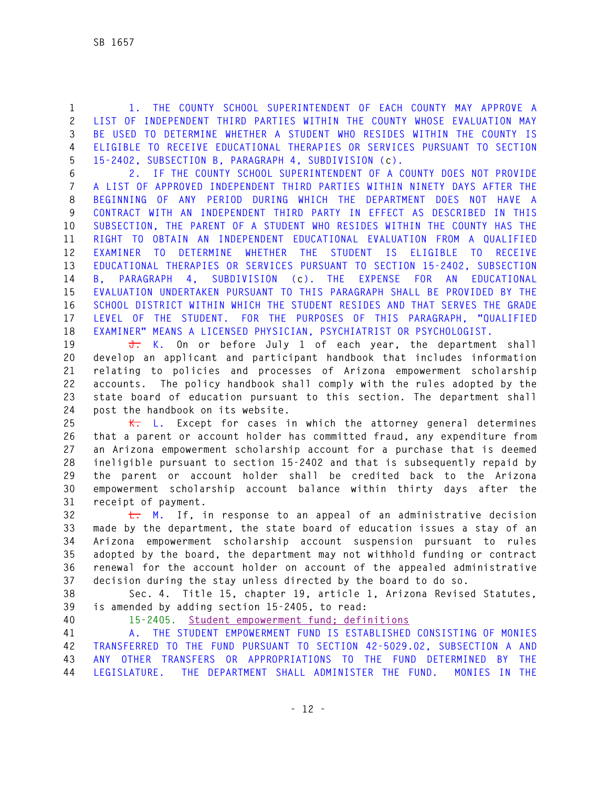**1 1. THE COUNTY SCHOOL SUPERINTENDENT OF EACH COUNTY MAY APPROVE A 2 LIST OF INDEPENDENT THIRD PARTIES WITHIN THE COUNTY WHOSE EVALUATION MAY 3 BE USED TO DETERMINE WHETHER A STUDENT WHO RESIDES WITHIN THE COUNTY IS 4 ELIGIBLE TO RECEIVE EDUCATIONAL THERAPIES OR SERVICES PURSUANT TO SECTION 5 15-2402, SUBSECTION B, PARAGRAPH 4, SUBDIVISION (c).** 

**6 2. IF THE COUNTY SCHOOL SUPERINTENDENT OF A COUNTY DOES NOT PROVIDE 7 A LIST OF APPROVED INDEPENDENT THIRD PARTIES WITHIN NINETY DAYS AFTER THE 8 BEGINNING OF ANY PERIOD DURING WHICH THE DEPARTMENT DOES NOT HAVE A 9 CONTRACT WITH AN INDEPENDENT THIRD PARTY IN EFFECT AS DESCRIBED IN THIS 10 SUBSECTION, THE PARENT OF A STUDENT WHO RESIDES WITHIN THE COUNTY HAS THE 11 RIGHT TO OBTAIN AN INDEPENDENT EDUCATIONAL EVALUATION FROM A QUALIFIED 12 EXAMINER TO DETERMINE WHETHER THE STUDENT IS ELIGIBLE TO RECEIVE 13 EDUCATIONAL THERAPIES OR SERVICES PURSUANT TO SECTION 15-2402, SUBSECTION 14 B, PARAGRAPH 4, SUBDIVISION (c). THE EXPENSE FOR AN EDUCATIONAL 15 EVALUATION UNDERTAKEN PURSUANT TO THIS PARAGRAPH SHALL BE PROVIDED BY THE 16 SCHOOL DISTRICT WITHIN WHICH THE STUDENT RESIDES AND THAT SERVES THE GRADE 17 LEVEL OF THE STUDENT. FOR THE PURPOSES OF THIS PARAGRAPH, "QUALIFIED 18 EXAMINER" MEANS A LICENSED PHYSICIAN, PSYCHIATRIST OR PSYCHOLOGIST.** 

**19 J. K. On or before July 1 of each year, the department shall 20 develop an applicant and participant handbook that includes information 21 relating to policies and processes of Arizona empowerment scholarship 22 accounts. The policy handbook shall comply with the rules adopted by the 23 state board of education pursuant to this section. The department shall 24 post the handbook on its website.** 

**25 K. L. Except for cases in which the attorney general determines 26 that a parent or account holder has committed fraud, any expenditure from 27 an Arizona empowerment scholarship account for a purchase that is deemed 28 ineligible pursuant to section 15-2402 and that is subsequently repaid by 29 the parent or account holder shall be credited back to the Arizona 30 empowerment scholarship account balance within thirty days after the 31 receipt of payment.** 

**32 L. M. If, in response to an appeal of an administrative decision 33 made by the department, the state board of education issues a stay of an 34 Arizona empowerment scholarship account suspension pursuant to rules 35 adopted by the board, the department may not withhold funding or contract 36 renewal for the account holder on account of the appealed administrative 37 decision during the stay unless directed by the board to do so.** 

**38 Sec. 4. Title 15, chapter 19, article 1, Arizona Revised Statutes, 39 is amended by adding section 15-2405, to read:** 

**40 15-2405. Student empowerment fund; definitions** 

**41 A. THE STUDENT EMPOWERMENT FUND IS ESTABLISHED CONSISTING OF MONIES 42 TRANSFERRED TO THE FUND PURSUANT TO SECTION 42-5029.02, SUBSECTION A AND 43 ANY OTHER TRANSFERS OR APPROPRIATIONS TO THE FUND DETERMINED BY THE 44 LEGISLATURE. THE DEPARTMENT SHALL ADMINISTER THE FUND. MONIES IN THE**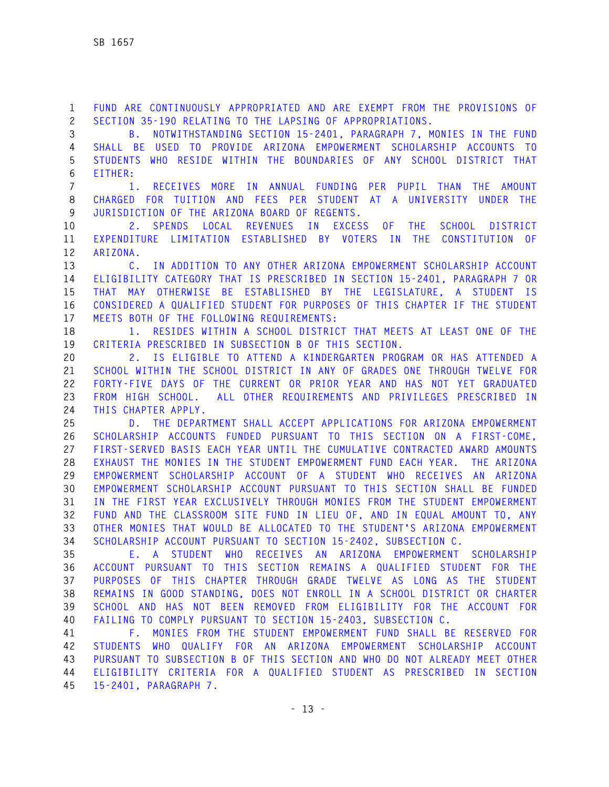**1 FUND ARE CONTINUOUSLY APPROPRIATED AND ARE EXEMPT FROM THE PROVISIONS OF 2 SECTION 35-190 RELATING TO THE LAPSING OF APPROPRIATIONS.** 

**3 B. NOTWITHSTANDING SECTION 15-2401, PARAGRAPH 7, MONIES IN THE FUND 4 SHALL BE USED TO PROVIDE ARIZONA EMPOWERMENT SCHOLARSHIP ACCOUNTS TO 5 STUDENTS WHO RESIDE WITHIN THE BOUNDARIES OF ANY SCHOOL DISTRICT THAT 6 EITHER:** 

**7 1. RECEIVES MORE IN ANNUAL FUNDING PER PUPIL THAN THE AMOUNT 8 CHARGED FOR TUITION AND FEES PER STUDENT AT A UNIVERSITY UNDER THE 9 JURISDICTION OF THE ARIZONA BOARD OF REGENTS.** 

**10 2. SPENDS LOCAL REVENUES IN EXCESS OF THE SCHOOL DISTRICT 11 EXPENDITURE LIMITATION ESTABLISHED BY VOTERS IN THE CONSTITUTION OF 12 ARIZONA.** 

**13 C. IN ADDITION TO ANY OTHER ARIZONA EMPOWERMENT SCHOLARSHIP ACCOUNT 14 ELIGIBILITY CATEGORY THAT IS PRESCRIBED IN SECTION 15-2401, PARAGRAPH 7 OR 15 THAT MAY OTHERWISE BE ESTABLISHED BY THE LEGISLATURE, A STUDENT IS 16 CONSIDERED A QUALIFIED STUDENT FOR PURPOSES OF THIS CHAPTER IF THE STUDENT 17 MEETS BOTH OF THE FOLLOWING REQUIREMENTS:** 

**18 1. RESIDES WITHIN A SCHOOL DISTRICT THAT MEETS AT LEAST ONE OF THE 19 CRITERIA PRESCRIBED IN SUBSECTION B OF THIS SECTION.** 

**20 2. IS ELIGIBLE TO ATTEND A KINDERGARTEN PROGRAM OR HAS ATTENDED A 21 SCHOOL WITHIN THE SCHOOL DISTRICT IN ANY OF GRADES ONE THROUGH TWELVE FOR 22 FORTY-FIVE DAYS OF THE CURRENT OR PRIOR YEAR AND HAS NOT YET GRADUATED 23 FROM HIGH SCHOOL. ALL OTHER REQUIREMENTS AND PRIVILEGES PRESCRIBED IN 24 THIS CHAPTER APPLY.** 

**25 D. THE DEPARTMENT SHALL ACCEPT APPLICATIONS FOR ARIZONA EMPOWERMENT 26 SCHOLARSHIP ACCOUNTS FUNDED PURSUANT TO THIS SECTION ON A FIRST-COME, 27 FIRST-SERVED BASIS EACH YEAR UNTIL THE CUMULATIVE CONTRACTED AWARD AMOUNTS 28 EXHAUST THE MONIES IN THE STUDENT EMPOWERMENT FUND EACH YEAR. THE ARIZONA 29 EMPOWERMENT SCHOLARSHIP ACCOUNT OF A STUDENT WHO RECEIVES AN ARIZONA 30 EMPOWERMENT SCHOLARSHIP ACCOUNT PURSUANT TO THIS SECTION SHALL BE FUNDED 31 IN THE FIRST YEAR EXCLUSIVELY THROUGH MONIES FROM THE STUDENT EMPOWERMENT 32 FUND AND THE CLASSROOM SITE FUND IN LIEU OF, AND IN EQUAL AMOUNT TO, ANY 33 OTHER MONIES THAT WOULD BE ALLOCATED TO THE STUDENT'S ARIZONA EMPOWERMENT 34 SCHOLARSHIP ACCOUNT PURSUANT TO SECTION 15-2402, SUBSECTION C.** 

**35 E. A STUDENT WHO RECEIVES AN ARIZONA EMPOWERMENT SCHOLARSHIP 36 ACCOUNT PURSUANT TO THIS SECTION REMAINS A QUALIFIED STUDENT FOR THE 37 PURPOSES OF THIS CHAPTER THROUGH GRADE TWELVE AS LONG AS THE STUDENT 38 REMAINS IN GOOD STANDING, DOES NOT ENROLL IN A SCHOOL DISTRICT OR CHARTER 39 SCHOOL AND HAS NOT BEEN REMOVED FROM ELIGIBILITY FOR THE ACCOUNT FOR 40 FAILING TO COMPLY PURSUANT TO SECTION 15-2403, SUBSECTION C.** 

**41 F. MONIES FROM THE STUDENT EMPOWERMENT FUND SHALL BE RESERVED FOR 42 STUDENTS WHO QUALIFY FOR AN ARIZONA EMPOWERMENT SCHOLARSHIP ACCOUNT 43 PURSUANT TO SUBSECTION B OF THIS SECTION AND WHO DO NOT ALREADY MEET OTHER 44 ELIGIBILITY CRITERIA FOR A QUALIFIED STUDENT AS PRESCRIBED IN SECTION 45 15-2401, PARAGRAPH 7.**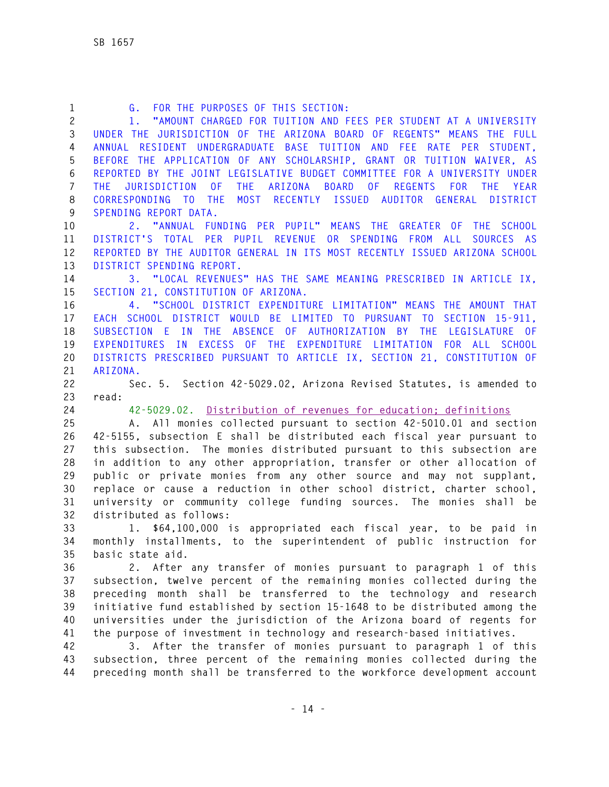| $\mathbf{1}$   | FOR THE PURPOSES OF THIS SECTION:<br>G.                                                                                  |
|----------------|--------------------------------------------------------------------------------------------------------------------------|
| $\overline{c}$ | "AMOUNT CHARGED FOR TUITION AND FEES PER STUDENT AT A UNIVERSITY<br>1.1                                                  |
| 3              | UNDER THE JURISDICTION OF THE ARIZONA BOARD OF REGENTS" MEANS THE FULL                                                   |
| 4              | ANNUAL RESIDENT UNDERGRADUATE BASE TUITION AND FEE RATE PER STUDENT,                                                     |
| 5              | BEFORE THE APPLICATION OF ANY SCHOLARSHIP, GRANT OR TUITION WAIVER, AS                                                   |
| 6              | REPORTED BY THE JOINT LEGISLATIVE BUDGET COMMITTEE FOR A UNIVERSITY UNDER                                                |
| 7              | THE ARIZONA BOARD OF REGENTS<br><b>JURISDICTION</b><br>0 <sup>F</sup><br><b>FOR</b><br><b>THE</b><br><b>YEAR</b><br>THE. |
| 8              | MOST RECENTLY ISSUED AUDITOR GENERAL DISTRICT<br>CORRESPONDING TO THE                                                    |
| 9              | SPENDING REPORT DATA.                                                                                                    |
| 10             | 2. "ANNUAL FUNDING PER PUPIL" MEANS THE GREATER OF THE SCHOOL                                                            |
| 11             | DISTRICT'S TOTAL PER PUPIL REVENUE OR SPENDING FROM ALL<br>SOURCES AS                                                    |
| 12             | REPORTED BY THE AUDITOR GENERAL IN ITS MOST RECENTLY ISSUED ARIZONA SCHOOL                                               |
| 13             | DISTRICT SPENDING REPORT.                                                                                                |
| 14             | 3. "LOCAL REVENUES" HAS THE SAME MEANING PRESCRIBED IN ARTICLE IX,                                                       |
| 15             | SECTION 21, CONSTITUTION OF ARIZONA.                                                                                     |
| 16             | 4. "SCHOOL DISTRICT EXPENDITURE LIMITATION" MEANS THE AMOUNT THAT                                                        |
| 17             | EACH SCHOOL DISTRICT WOULD BE LIMITED TO PURSUANT TO SECTION 15-911.                                                     |
| 18             | SUBSECTION E IN THE ABSENCE OF AUTHORIZATION BY THE LEGISLATURE OF                                                       |
| 19             | EXPENDITURES IN EXCESS OF THE EXPENDITURE LIMITATION FOR ALL SCHOOL                                                      |
| 20             | DISTRICTS PRESCRIBED PURSUANT TO ARTICLE IX, SECTION 21, CONSTITUTION OF                                                 |
| 21             | ARIZONA.                                                                                                                 |
| 22             | Sec. 5. Section 42-5029.02, Arizona Revised Statutes, is amended to                                                      |
| 23             | read:                                                                                                                    |
| 24             | 42-5029.02. Distribution of revenues for education; definitions                                                          |
| 25             | A. All monies collected pursuant to section 42-5010.01 and section                                                       |
| 26             | 42-5155, subsection E shall be distributed each fiscal year pursuant to                                                  |
| 27             | this subsection. The monies distributed pursuant to this subsection are                                                  |
| 28             | in addition to any other appropriation, transfer or other allocation of                                                  |
| 29             | public or private monies from any other source and may not supplant,                                                     |
| 30             | replace or cause a reduction in other school district, charter school,                                                   |
| 31             | university or community college funding sources. The monies shall be                                                     |
| 32             | distributed as follows:                                                                                                  |
| 33             | 1. \$64,100,000 is appropriated each fiscal year, to be paid in                                                          |
| 34             | monthly installments, to the superintendent of public instruction for                                                    |
| 35             | basic state aid.                                                                                                         |
| 36             | 2. After any transfer of monies pursuant to paragraph 1 of this                                                          |
| 37             | subsection, twelve percent of the remaining monies collected during the                                                  |
| 38             | preceding month shall be transferred to the technology and research                                                      |
| 39             | initiative fund established by section 15-1648 to be distributed among the                                               |
| 40             |                                                                                                                          |
| 41             | universities under the jurisdiction of the Arizona board of regents for                                                  |
|                | the purpose of investment in technology and research-based initiatives.                                                  |
| 42             | 3. After the transfer of monies pursuant to paragraph 1 of this                                                          |
| 43             | subsection, three percent of the remaining monies collected during the                                                   |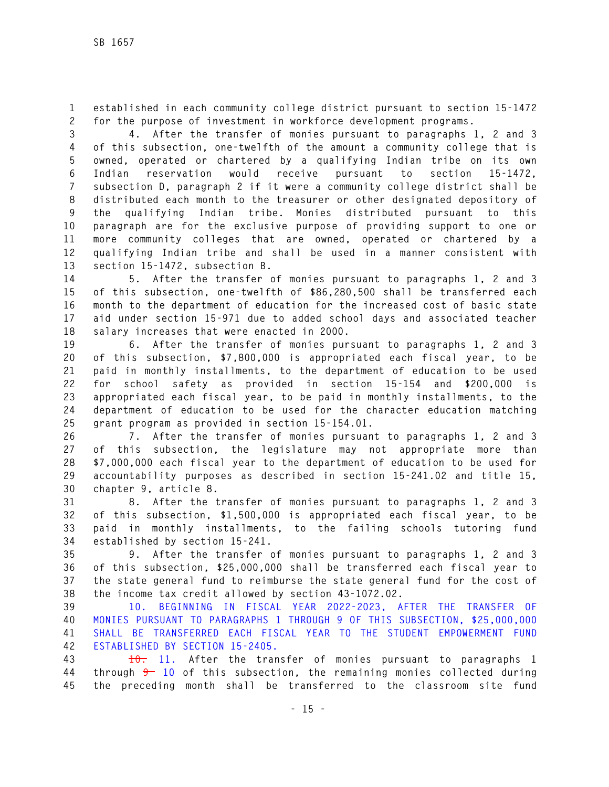**1 established in each community college district pursuant to section 15-1472 2 for the purpose of investment in workforce development programs.** 

**3 4. After the transfer of monies pursuant to paragraphs 1, 2 and 3 4 of this subsection, one-twelfth of the amount a community college that is 5 owned, operated or chartered by a qualifying Indian tribe on its own 6 Indian reservation would receive pursuant to section 15-1472, 7 subsection D, paragraph 2 if it were a community college district shall be 8 distributed each month to the treasurer or other designated depository of 9 the qualifying Indian tribe. Monies distributed pursuant to this 10 paragraph are for the exclusive purpose of providing support to one or 11 more community colleges that are owned, operated or chartered by a 12 qualifying Indian tribe and shall be used in a manner consistent with 13 section 15-1472, subsection B.** 

**14 5. After the transfer of monies pursuant to paragraphs 1, 2 and 3 15 of this subsection, one-twelfth of \$86,280,500 shall be transferred each 16 month to the department of education for the increased cost of basic state 17 aid under section 15-971 due to added school days and associated teacher 18 salary increases that were enacted in 2000.** 

**19 6. After the transfer of monies pursuant to paragraphs 1, 2 and 3 20 of this subsection, \$7,800,000 is appropriated each fiscal year, to be 21 paid in monthly installments, to the department of education to be used 22 for school safety as provided in section 15-154 and \$200,000 is 23 appropriated each fiscal year, to be paid in monthly installments, to the 24 department of education to be used for the character education matching 25 grant program as provided in section 15-154.01.** 

**26 7. After the transfer of monies pursuant to paragraphs 1, 2 and 3 27 of this subsection, the legislature may not appropriate more than 28 \$7,000,000 each fiscal year to the department of education to be used for 29 accountability purposes as described in section 15-241.02 and title 15, 30 chapter 9, article 8.** 

**31 8. After the transfer of monies pursuant to paragraphs 1, 2 and 3 32 of this subsection, \$1,500,000 is appropriated each fiscal year, to be 33 paid in monthly installments, to the failing schools tutoring fund 34 established by section 15-241.** 

**35 9. After the transfer of monies pursuant to paragraphs 1, 2 and 3 36 of this subsection, \$25,000,000 shall be transferred each fiscal year to 37 the state general fund to reimburse the state general fund for the cost of 38 the income tax credit allowed by section 43-1072.02.** 

**39 10. BEGINNING IN FISCAL YEAR 2022-2023, AFTER THE TRANSFER OF 40 MONIES PURSUANT TO PARAGRAPHS 1 THROUGH 9 OF THIS SUBSECTION, \$25,000,000 41 SHALL BE TRANSFERRED EACH FISCAL YEAR TO THE STUDENT EMPOWERMENT FUND 42 ESTABLISHED BY SECTION 15-2405.** 

**43 10. 11. After the transfer of monies pursuant to paragraphs 1 44 through 9 10 of this subsection, the remaining monies collected during 45 the preceding month shall be transferred to the classroom site fund**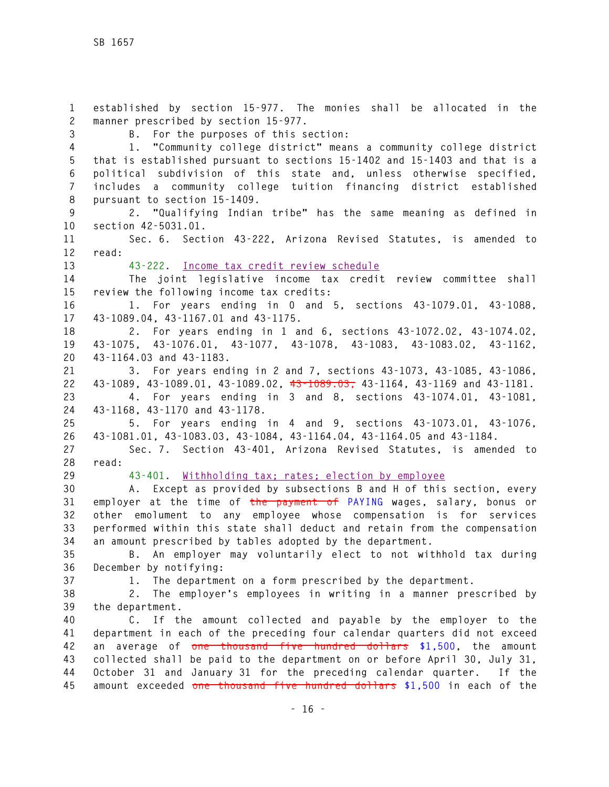**1 established by section 15-977. The monies shall be allocated in the 2 manner prescribed by section 15-977. 3 B. For the purposes of this section: 4 1. "Community college district" means a community college district 5 that is established pursuant to sections 15-1402 and 15-1403 and that is a 6 political subdivision of this state and, unless otherwise specified, 7 includes a community college tuition financing district established 8 pursuant to section 15-1409. 9 2. "Qualifying Indian tribe" has the same meaning as defined in 10 section 42-5031.01. 11 Sec. 6. Section 43-222, Arizona Revised Statutes, is amended to 12 read: 13 43-222. Income tax credit review schedule 14 The joint legislative income tax credit review committee shall 15 review the following income tax credits: 16 1. For years ending in 0 and 5, sections 43-1079.01, 43-1088, 17 43-1089.04, 43-1167.01 and 43-1175. 18 2. For years ending in 1 and 6, sections 43-1072.02, 43-1074.02, 19 43-1075, 43-1076.01, 43-1077, 43-1078, 43-1083, 43-1083.02, 43-1162, 20 43-1164.03 and 43-1183. 21 3. For years ending in 2 and 7, sections 43-1073, 43-1085, 43-1086, 22 43-1089, 43-1089.01, 43-1089.02, 43-1089.03, 43-1164, 43-1169 and 43-1181. 23 4. For years ending in 3 and 8, sections 43-1074.01, 43-1081, 24 43-1168, 43-1170 and 43-1178. 25 5. For years ending in 4 and 9, sections 43-1073.01, 43-1076, 26 43-1081.01, 43-1083.03, 43-1084, 43-1164.04, 43-1164.05 and 43-1184. 27 Sec. 7. Section 43-401, Arizona Revised Statutes, is amended to 28 read: 29 43-401. Withholding tax; rates; election by employee 30 A. Except as provided by subsections B and H of this section, every 31 employer at the time of the payment of PAYING wages, salary, bonus or 32 other emolument to any employee whose compensation is for services 33 performed within this state shall deduct and retain from the compensation 34 an amount prescribed by tables adopted by the department. 35 B. An employer may voluntarily elect to not withhold tax during 36 December by notifying: 37 1. The department on a form prescribed by the department. 38 2. The employer's employees in writing in a manner prescribed by 39 the department. 40 C. If the amount collected and payable by the employer to the 41 department in each of the preceding four calendar quarters did not exceed 42 an average of one thousand five hundred dollars \$1,500, the amount 43 collected shall be paid to the department on or before April 30, July 31, 44 October 31 and January 31 for the preceding calendar quarter. If the 45 amount exceeded one thousand five hundred dollars \$1,500 in each of the**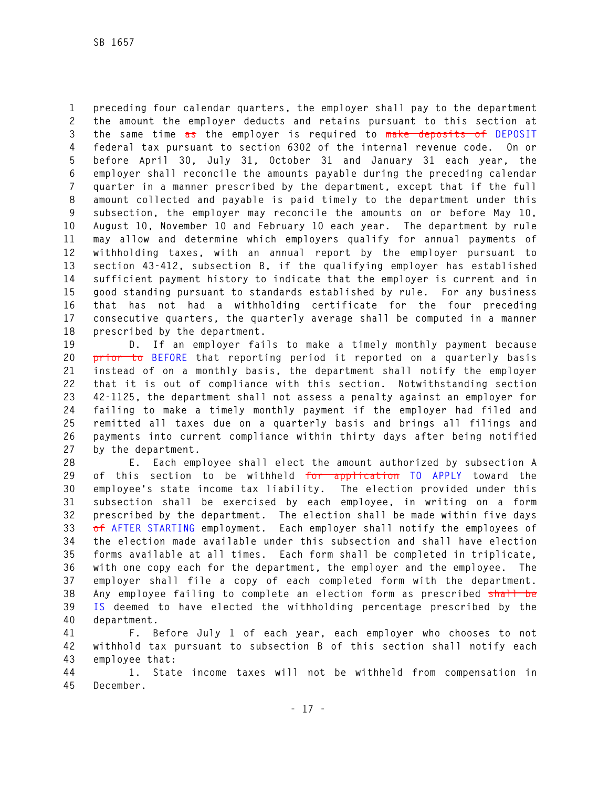**1 preceding four calendar quarters, the employer shall pay to the department 2 the amount the employer deducts and retains pursuant to this section at 3 the same time as the employer is required to make deposits of DEPOSIT 4 federal tax pursuant to section 6302 of the internal revenue code. On or 5 before April 30, July 31, October 31 and January 31 each year, the 6 employer shall reconcile the amounts payable during the preceding calendar 7 quarter in a manner prescribed by the department, except that if the full 8 amount collected and payable is paid timely to the department under this 9 subsection, the employer may reconcile the amounts on or before May 10, 10 August 10, November 10 and February 10 each year. The department by rule 11 may allow and determine which employers qualify for annual payments of 12 withholding taxes, with an annual report by the employer pursuant to 13 section 43-412, subsection B, if the qualifying employer has established 14 sufficient payment history to indicate that the employer is current and in 15 good standing pursuant to standards established by rule. For any business 16 that has not had a withholding certificate for the four preceding 17 consecutive quarters, the quarterly average shall be computed in a manner 18 prescribed by the department.** 

**19 D. If an employer fails to make a timely monthly payment because 20 prior to BEFORE that reporting period it reported on a quarterly basis 21 instead of on a monthly basis, the department shall notify the employer 22 that it is out of compliance with this section. Notwithstanding section 23 42-1125, the department shall not assess a penalty against an employer for 24 failing to make a timely monthly payment if the employer had filed and 25 remitted all taxes due on a quarterly basis and brings all filings and 26 payments into current compliance within thirty days after being notified 27 by the department.** 

**28 E. Each employee shall elect the amount authorized by subsection A 29 of this section to be withheld for application TO APPLY toward the 30 employee's state income tax liability. The election provided under this 31 subsection shall be exercised by each employee, in writing on a form 32 prescribed by the department. The election shall be made within five days 33 of AFTER STARTING employment. Each employer shall notify the employees of 34 the election made available under this subsection and shall have election 35 forms available at all times. Each form shall be completed in triplicate, 36 with one copy each for the department, the employer and the employee. The 37 employer shall file a copy of each completed form with the department. 38 Any employee failing to complete an election form as prescribed shall be 39 IS deemed to have elected the withholding percentage prescribed by the 40 department.** 

**41 F. Before July 1 of each year, each employer who chooses to not 42 withhold tax pursuant to subsection B of this section shall notify each 43 employee that:** 

**44 1. State income taxes will not be withheld from compensation in 45 December.**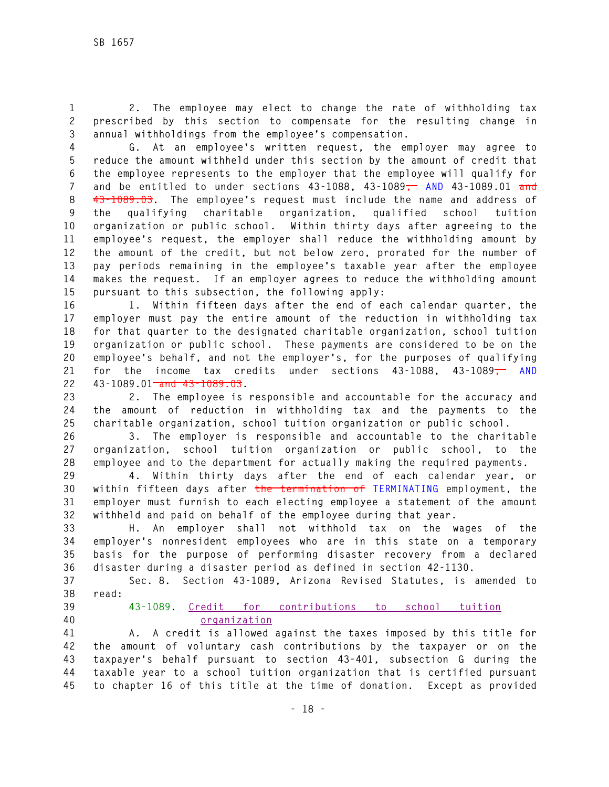**1 2. The employee may elect to change the rate of withholding tax 2 prescribed by this section to compensate for the resulting change in 3 annual withholdings from the employee's compensation.** 

**4 G. At an employee's written request, the employer may agree to 5 reduce the amount withheld under this section by the amount of credit that 6 the employee represents to the employer that the employee will qualify for 7 and be entitled to under sections 43-1088, 43-1089, AND 43-1089.01 and 8 43-1089.03. The employee's request must include the name and address of 9 the qualifying charitable organization, qualified school tuition 10 organization or public school. Within thirty days after agreeing to the 11 employee's request, the employer shall reduce the withholding amount by 12 the amount of the credit, but not below zero, prorated for the number of 13 pay periods remaining in the employee's taxable year after the employee 14 makes the request. If an employer agrees to reduce the withholding amount 15 pursuant to this subsection, the following apply:** 

**16 1. Within fifteen days after the end of each calendar quarter, the 17 employer must pay the entire amount of the reduction in withholding tax 18 for that quarter to the designated charitable organization, school tuition 19 organization or public school. These payments are considered to be on the 20 employee's behalf, and not the employer's, for the purposes of qualifying 21 for the income tax credits under sections 43-1088, 43-1089, AND 22 43-1089.01 and 43-1089.03.** 

**23 2. The employee is responsible and accountable for the accuracy and 24 the amount of reduction in withholding tax and the payments to the 25 charitable organization, school tuition organization or public school.** 

**26 3. The employer is responsible and accountable to the charitable 27 organization, school tuition organization or public school, to the 28 employee and to the department for actually making the required payments.** 

**29 4. Within thirty days after the end of each calendar year, or 30 within fifteen days after the termination of TERMINATING employment, the 31 employer must furnish to each electing employee a statement of the amount 32 withheld and paid on behalf of the employee during that year.** 

**33 H. An employer shall not withhold tax on the wages of the 34 employer's nonresident employees who are in this state on a temporary 35 basis for the purpose of performing disaster recovery from a declared 36 disaster during a disaster period as defined in section 42-1130.** 

**37 Sec. 8. Section 43-1089, Arizona Revised Statutes, is amended to 38 read:** 

- 
- 

**39 43-1089. Credit for contributions to school tuition 40 organization**

**41 A. A credit is allowed against the taxes imposed by this title for 42 the amount of voluntary cash contributions by the taxpayer or on the 43 taxpayer's behalf pursuant to section 43-401, subsection G during the 44 taxable year to a school tuition organization that is certified pursuant 45 to chapter 16 of this title at the time of donation. Except as provided**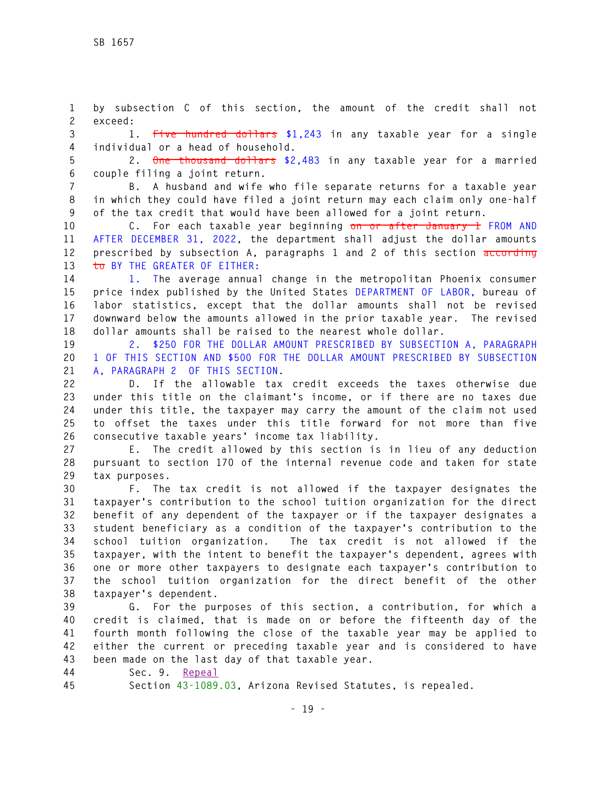**1 by subsection C of this section, the amount of the credit shall not 2 exceed:** 

**3 1. Five hundred dollars \$1,243 in any taxable year for a single 4 individual or a head of household.** 

**5 2. One thousand dollars \$2,483 in any taxable year for a married 6 couple filing a joint return.** 

**7 B. A husband and wife who file separate returns for a taxable year 8 in which they could have filed a joint return may each claim only one-half 9 of the tax credit that would have been allowed for a joint return.** 

**10 C. For each taxable year beginning on or after January 1 FROM AND 11 AFTER DECEMBER 31, 2022, the department shall adjust the dollar amounts 12 prescribed by subsection A, paragraphs 1 and 2 of this section according 13 to BY THE GREATER OF EITHER:** 

**14 1. The average annual change in the metropolitan Phoenix consumer 15 price index published by the United States DEPARTMENT OF LABOR, bureau of 16 labor statistics, except that the dollar amounts shall not be revised 17 downward below the amounts allowed in the prior taxable year. The revised 18 dollar amounts shall be raised to the nearest whole dollar.** 

**19 2. \$250 FOR THE DOLLAR AMOUNT PRESCRIBED BY SUBSECTION A, PARAGRAPH 20 1 OF THIS SECTION AND \$500 FOR THE DOLLAR AMOUNT PRESCRIBED BY SUBSECTION 21 A, PARAGRAPH 2 OF THIS SECTION.** 

**22 D. If the allowable tax credit exceeds the taxes otherwise due 23 under this title on the claimant's income, or if there are no taxes due 24 under this title, the taxpayer may carry the amount of the claim not used 25 to offset the taxes under this title forward for not more than five 26 consecutive taxable years' income tax liability.** 

**27 E. The credit allowed by this section is in lieu of any deduction 28 pursuant to section 170 of the internal revenue code and taken for state 29 tax purposes.** 

**30 F. The tax credit is not allowed if the taxpayer designates the 31 taxpayer's contribution to the school tuition organization for the direct 32 benefit of any dependent of the taxpayer or if the taxpayer designates a 33 student beneficiary as a condition of the taxpayer's contribution to the 34 school tuition organization. The tax credit is not allowed if the 35 taxpayer, with the intent to benefit the taxpayer's dependent, agrees with 36 one or more other taxpayers to designate each taxpayer's contribution to 37 the school tuition organization for the direct benefit of the other 38 taxpayer's dependent.** 

**39 G. For the purposes of this section, a contribution, for which a 40 credit is claimed, that is made on or before the fifteenth day of the 41 fourth month following the close of the taxable year may be applied to 42 either the current or preceding taxable year and is considered to have 43 been made on the last day of that taxable year.** 

**44 Sec. 9. Repeal**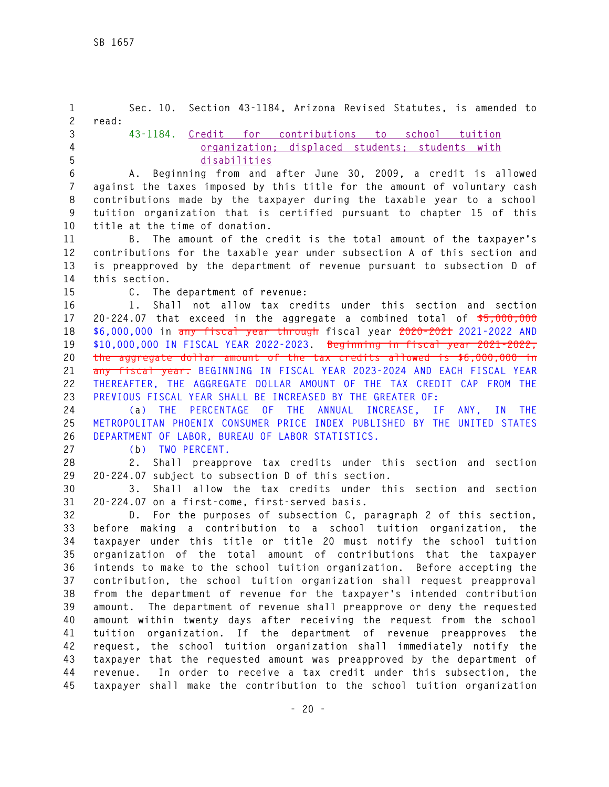**1 Sec. 10. Section 43-1184, Arizona Revised Statutes, is amended to 2 read: 3 43-1184. Credit for contributions to school tuition 4 organization; displaced students; students with 5 disabilities 6 A. Beginning from and after June 30, 2009, a credit is allowed 7 against the taxes imposed by this title for the amount of voluntary cash 8 contributions made by the taxpayer during the taxable year to a school 9 tuition organization that is certified pursuant to chapter 15 of this 10 title at the time of donation. 11 B. The amount of the credit is the total amount of the taxpayer's 12 contributions for the taxable year under subsection A of this section and 13 is preapproved by the department of revenue pursuant to subsection D of 14 this section. 15 C. The department of revenue: 16 1. Shall not allow tax credits under this section and section 17 20-224.07 that exceed in the aggregate a combined total of \$5,000,000 18 \$6,000,000 in any fiscal year through fiscal year 2020-2021 2021-2022 AND 19 \$10,000,000 IN FISCAL YEAR 2022-2023. Beginning in fiscal year 2021-2022, 20 the aggregate dollar amount of the tax credits allowed is \$6,000,000 in 21 any fiscal year. BEGINNING IN FISCAL YEAR 2023-2024 AND EACH FISCAL YEAR 22 THEREAFTER, THE AGGREGATE DOLLAR AMOUNT OF THE TAX CREDIT CAP FROM THE 23 PREVIOUS FISCAL YEAR SHALL BE INCREASED BY THE GREATER OF: 24 (a) THE PERCENTAGE OF THE ANNUAL INCREASE, IF ANY, IN THE 25 METROPOLITAN PHOENIX CONSUMER PRICE INDEX PUBLISHED BY THE UNITED STATES 26 DEPARTMENT OF LABOR, BUREAU OF LABOR STATISTICS. 27 (b) TWO PERCENT. 28 2. Shall preapprove tax credits under this section and section 29 20-224.07 subject to subsection D of this section. 30 3. Shall allow the tax credits under this section and section 31 20-224.07 on a first-come, first-served basis. 32 D. For the purposes of subsection C, paragraph 2 of this section, 33 before making a contribution to a school tuition organization, the 34 taxpayer under this title or title 20 must notify the school tuition 35 organization of the total amount of contributions that the taxpayer 36 intends to make to the school tuition organization. Before accepting the 37 contribution, the school tuition organization shall request preapproval 38 from the department of revenue for the taxpayer's intended contribution 39 amount. The department of revenue shall preapprove or deny the requested 40 amount within twenty days after receiving the request from the school 41 tuition organization. If the department of revenue preapproves the 42 request, the school tuition organization shall immediately notify the 43 taxpayer that the requested amount was preapproved by the department of 44 revenue. In order to receive a tax credit under this subsection, the 45 taxpayer shall make the contribution to the school tuition organization**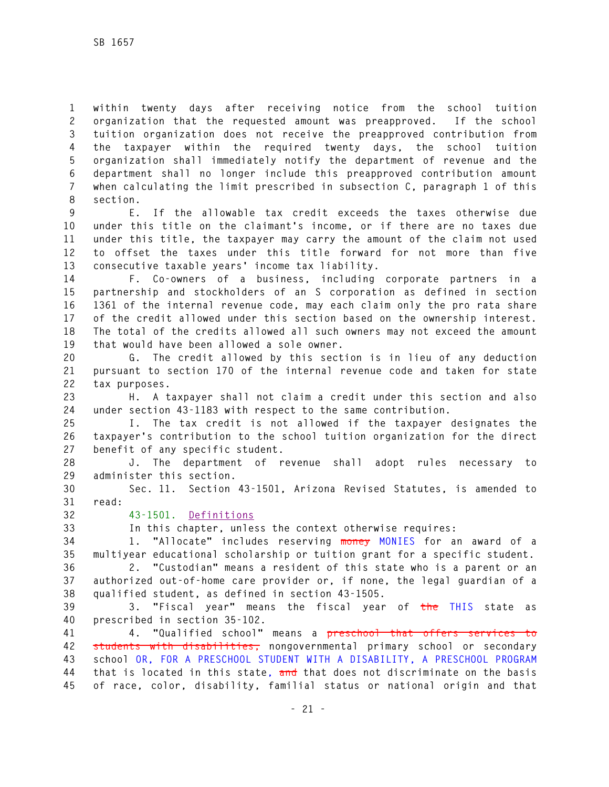**1 within twenty days after receiving notice from the school tuition 2 organization that the requested amount was preapproved. If the school 3 tuition organization does not receive the preapproved contribution from 4 the taxpayer within the required twenty days, the school tuition 5 organization shall immediately notify the department of revenue and the 6 department shall no longer include this preapproved contribution amount 7 when calculating the limit prescribed in subsection C, paragraph 1 of this 8 section.** 

**9 E. If the allowable tax credit exceeds the taxes otherwise due 10 under this title on the claimant's income, or if there are no taxes due 11 under this title, the taxpayer may carry the amount of the claim not used 12 to offset the taxes under this title forward for not more than five 13 consecutive taxable years' income tax liability.** 

**14 F. Co-owners of a business, including corporate partners in a 15 partnership and stockholders of an S corporation as defined in section 16 1361 of the internal revenue code, may each claim only the pro rata share 17 of the credit allowed under this section based on the ownership interest. 18 The total of the credits allowed all such owners may not exceed the amount 19 that would have been allowed a sole owner.** 

**20 G. The credit allowed by this section is in lieu of any deduction 21 pursuant to section 170 of the internal revenue code and taken for state 22 tax purposes.** 

**23 H. A taxpayer shall not claim a credit under this section and also 24 under section 43-1183 with respect to the same contribution.** 

**25 I. The tax credit is not allowed if the taxpayer designates the 26 taxpayer's contribution to the school tuition organization for the direct 27 benefit of any specific student.** 

**28 J. The department of revenue shall adopt rules necessary to 29 administer this section.** 

**30 Sec. 11. Section 43-1501, Arizona Revised Statutes, is amended to 31 read:** 

**32 43-1501. Definitions**

**33 In this chapter, unless the context otherwise requires:** 

**34 1. "Allocate" includes reserving money MONIES for an award of a 35 multiyear educational scholarship or tuition grant for a specific student.** 

**36 2. "Custodian" means a resident of this state who is a parent or an 37 authorized out-of-home care provider or, if none, the legal guardian of a 38 qualified student, as defined in section 43-1505.** 

**39 3. "Fiscal year" means the fiscal year of the THIS state as 40 prescribed in section 35-102.** 

**41 4. "Qualified school" means a preschool that offers services to 42 students with disabilities, nongovernmental primary school or secondary 43 school OR, FOR A PRESCHOOL STUDENT WITH A DISABILITY, A PRESCHOOL PROGRAM 44 that is located in this state, and that does not discriminate on the basis 45 of race, color, disability, familial status or national origin and that**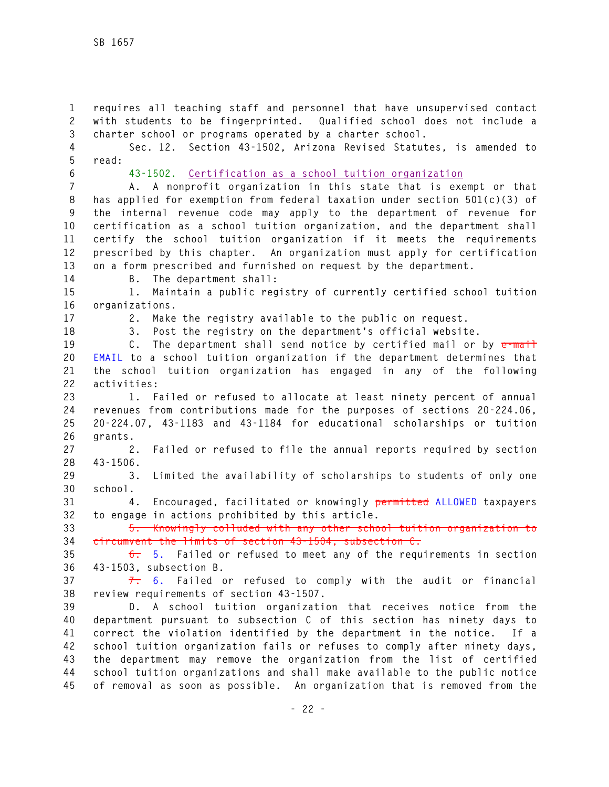**1 requires all teaching staff and personnel that have unsupervised contact 2 with students to be fingerprinted. Qualified school does not include a 3 charter school or programs operated by a charter school.** 

**4 Sec. 12. Section 43-1502, Arizona Revised Statutes, is amended to 5 read:** 

**6 43-1502. Certification as a school tuition organization**

**7 A. A nonprofit organization in this state that is exempt or that 8 has applied for exemption from federal taxation under section 501(c)(3) of 9 the internal revenue code may apply to the department of revenue for 10 certification as a school tuition organization, and the department shall 11 certify the school tuition organization if it meets the requirements 12 prescribed by this chapter. An organization must apply for certification 13 on a form prescribed and furnished on request by the department.** 

**14 B. The department shall:** 

**15 1. Maintain a public registry of currently certified school tuition 16 organizations.** 

**17 2. Make the registry available to the public on request.** 

**18 3. Post the registry on the department's official website.** 

**19 C. The department shall send notice by certified mail or by e-mail 20 EMAIL to a school tuition organization if the department determines that 21 the school tuition organization has engaged in any of the following 22 activities:** 

**23 1. Failed or refused to allocate at least ninety percent of annual 24 revenues from contributions made for the purposes of sections 20-224.06, 25 20-224.07, 43-1183 and 43-1184 for educational scholarships or tuition 26 grants.** 

**27 2. Failed or refused to file the annual reports required by section 28 43-1506.** 

**29 3. Limited the availability of scholarships to students of only one 30 school.** 

**31 4. Encouraged, facilitated or knowingly permitted ALLOWED taxpayers 32 to engage in actions prohibited by this article.** 

**33 5. Knowingly colluded with any other school tuition organization to 34 circumvent the limits of section 43-1504, subsection C.** 

**35 6. 5. Failed or refused to meet any of the requirements in section 36 43-1503, subsection B.** 

**37 7. 6. Failed or refused to comply with the audit or financial 38 review requirements of section 43-1507.** 

**39 D. A school tuition organization that receives notice from the 40 department pursuant to subsection C of this section has ninety days to 41 correct the violation identified by the department in the notice. If a 42 school tuition organization fails or refuses to comply after ninety days, 43 the department may remove the organization from the list of certified 44 school tuition organizations and shall make available to the public notice 45 of removal as soon as possible. An organization that is removed from the**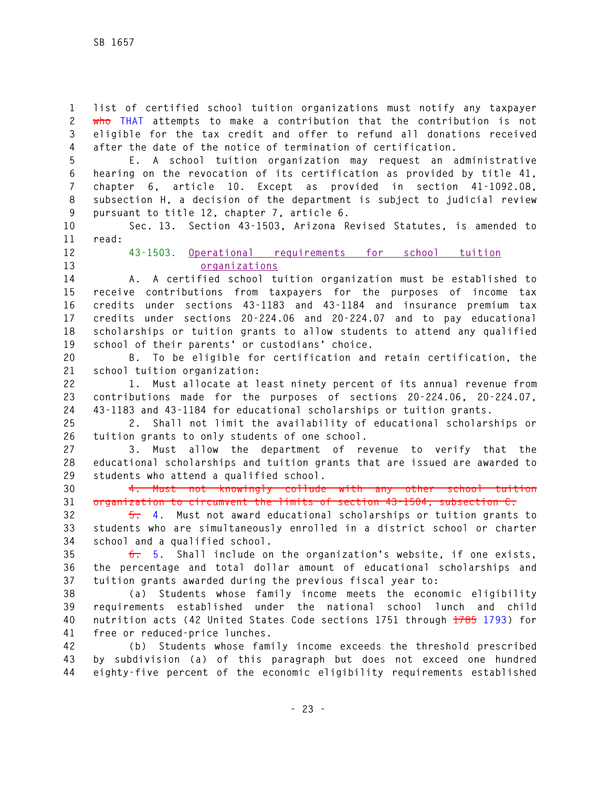**1 list of certified school tuition organizations must notify any taxpayer 2 who THAT attempts to make a contribution that the contribution is not 3 eligible for the tax credit and offer to refund all donations received 4 after the date of the notice of termination of certification.** 

**5 E. A school tuition organization may request an administrative 6 hearing on the revocation of its certification as provided by title 41, 7 chapter 6, article 10. Except as provided in section 41-1092.08, 8 subsection H, a decision of the department is subject to judicial review 9 pursuant to title 12, chapter 7, article 6.** 

**10 Sec. 13. Section 43-1503, Arizona Revised Statutes, is amended to 11 read:** 

**12 43-1503. Operational requirements for school tuition 13 organizations**

**14 A. A certified school tuition organization must be established to 15 receive contributions from taxpayers for the purposes of income tax 16 credits under sections 43-1183 and 43-1184 and insurance premium tax 17 credits under sections 20-224.06 and 20-224.07 and to pay educational 18 scholarships or tuition grants to allow students to attend any qualified 19 school of their parents' or custodians' choice.** 

**20 B. To be eligible for certification and retain certification, the 21 school tuition organization:** 

**22 1. Must allocate at least ninety percent of its annual revenue from 23 contributions made for the purposes of sections 20-224.06, 20-224.07, 24 43-1183 and 43-1184 for educational scholarships or tuition grants.** 

**25 2. Shall not limit the availability of educational scholarships or 26 tuition grants to only students of one school.** 

**27 3. Must allow the department of revenue to verify that the 28 educational scholarships and tuition grants that are issued are awarded to 29 students who attend a qualified school.** 

**30 4. Must not knowingly collude with any other school tuition 31 organization to circumvent the limits of section 43-1504, subsection C.** 

**32 5. 4. Must not award educational scholarships or tuition grants to 33 students who are simultaneously enrolled in a district school or charter 34 school and a qualified school.** 

**35 6. 5. Shall include on the organization's website, if one exists, 36 the percentage and total dollar amount of educational scholarships and 37 tuition grants awarded during the previous fiscal year to:** 

**38 (a) Students whose family income meets the economic eligibility 39 requirements established under the national school lunch and child 40 nutrition acts (42 United States Code sections 1751 through 1785 1793) for 41 free or reduced-price lunches.** 

**42 (b) Students whose family income exceeds the threshold prescribed 43 by subdivision (a) of this paragraph but does not exceed one hundred 44 eighty-five percent of the economic eligibility requirements established**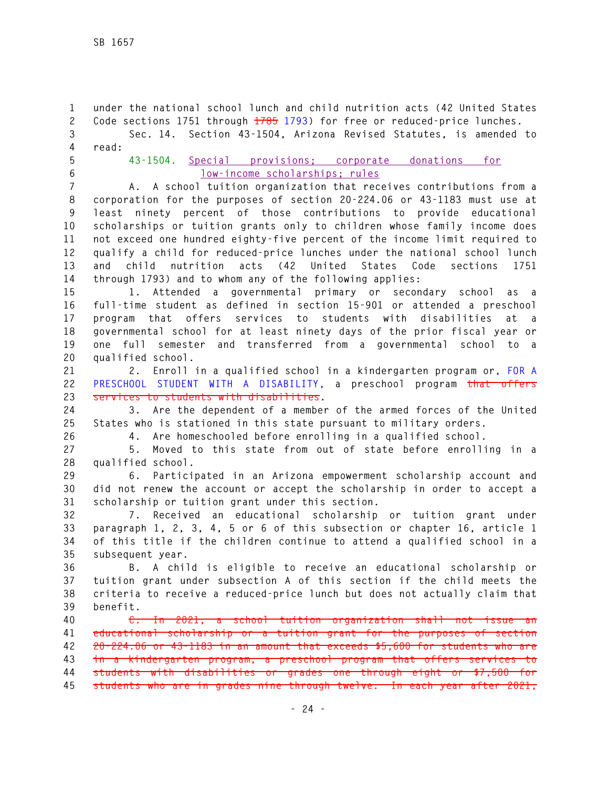**1 under the national school lunch and child nutrition acts (42 United States 2 Code sections 1751 through 1785 1793) for free or reduced-price lunches. 3 Sec. 14. Section 43-1504, Arizona Revised Statutes, is amended to 4 read:** 

- 
- 

## **5 43-1504. Special provisions; corporate donations for 6 low-income scholarships; rules**

**7 A. A school tuition organization that receives contributions from a 8 corporation for the purposes of section 20-224.06 or 43-1183 must use at 9 least ninety percent of those contributions to provide educational 10 scholarships or tuition grants only to children whose family income does 11 not exceed one hundred eighty-five percent of the income limit required to 12 qualify a child for reduced-price lunches under the national school lunch 13 and child nutrition acts (42 United States Code sections 1751 14 through 1793) and to whom any of the following applies:** 

**15 1. Attended a governmental primary or secondary school as a 16 full-time student as defined in section 15-901 or attended a preschool 17 program that offers services to students with disabilities at a 18 governmental school for at least ninety days of the prior fiscal year or 19 one full semester and transferred from a governmental school to a 20 qualified school.** 

**21 2. Enroll in a qualified school in a kindergarten program or, FOR A 22 PRESCHOOL STUDENT WITH A DISABILITY, a preschool program that offers 23 services to students with disabilities.** 

**24 3. Are the dependent of a member of the armed forces of the United 25 States who is stationed in this state pursuant to military orders.** 

**26 4. Are homeschooled before enrolling in a qualified school.** 

**27 5. Moved to this state from out of state before enrolling in a 28 qualified school.** 

**29 6. Participated in an Arizona empowerment scholarship account and 30 did not renew the account or accept the scholarship in order to accept a 31 scholarship or tuition grant under this section.** 

**32 7. Received an educational scholarship or tuition grant under 33 paragraph 1, 2, 3, 4, 5 or 6 of this subsection or chapter 16, article 1 34 of this title if the children continue to attend a qualified school in a 35 subsequent year.** 

**36 B. A child is eligible to receive an educational scholarship or 37 tuition grant under subsection A of this section if the child meets the 38 criteria to receive a reduced-price lunch but does not actually claim that 39 benefit.** 

**40 C. In 2021, a school tuition organization shall not issue an 41 educational scholarship or a tuition grant for the purposes of section 42 20-224.06 or 43-1183 in an amount that exceeds \$5,600 for students who are 43 in a kindergarten program, a preschool program that offers services to 44 students with disabilities or grades one through eight or \$7,500 for 45 students who are in grades nine through twelve. In each year after 2021,**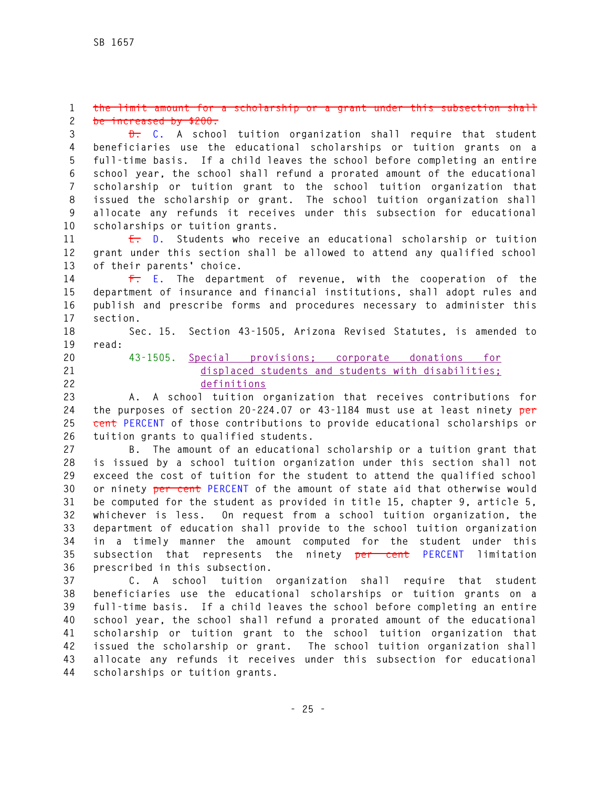#### **1 the limit amount for a scholarship or a grant under this subsection shall 2 be increased by \$200.**

**3 D. C. A school tuition organization shall require that student 4 beneficiaries use the educational scholarships or tuition grants on a 5 full-time basis. If a child leaves the school before completing an entire 6 school year, the school shall refund a prorated amount of the educational 7 scholarship or tuition grant to the school tuition organization that 8 issued the scholarship or grant. The school tuition organization shall 9 allocate any refunds it receives under this subsection for educational 10 scholarships or tuition grants.** 

**11 E. D. Students who receive an educational scholarship or tuition 12 grant under this section shall be allowed to attend any qualified school 13 of their parents' choice.** 

**14 F. E. The department of revenue, with the cooperation of the 15 department of insurance and financial institutions, shall adopt rules and 16 publish and prescribe forms and procedures necessary to administer this 17 section.** 

**18 Sec. 15. Section 43-1505, Arizona Revised Statutes, is amended to** 

- **19 read:**
- 
- 

## **20 43-1505. Special provisions; corporate donations for 21 displaced students and students with disabilities; 22 definitions**

**23 A. A school tuition organization that receives contributions for 24 the purposes of section 20-224.07 or 43-1184 must use at least ninety per 25 cent PERCENT of those contributions to provide educational scholarships or 26 tuition grants to qualified students.** 

**27 B. The amount of an educational scholarship or a tuition grant that 28 is issued by a school tuition organization under this section shall not 29 exceed the cost of tuition for the student to attend the qualified school 30 or ninety per cent PERCENT of the amount of state aid that otherwise would 31 be computed for the student as provided in title 15, chapter 9, article 5, 32 whichever is less. On request from a school tuition organization, the 33 department of education shall provide to the school tuition organization 34 in a timely manner the amount computed for the student under this 35 subsection that represents the ninety per cent PERCENT limitation 36 prescribed in this subsection.** 

**37 C. A school tuition organization shall require that student 38 beneficiaries use the educational scholarships or tuition grants on a 39 full-time basis. If a child leaves the school before completing an entire 40 school year, the school shall refund a prorated amount of the educational 41 scholarship or tuition grant to the school tuition organization that 42 issued the scholarship or grant. The school tuition organization shall 43 allocate any refunds it receives under this subsection for educational 44 scholarships or tuition grants.**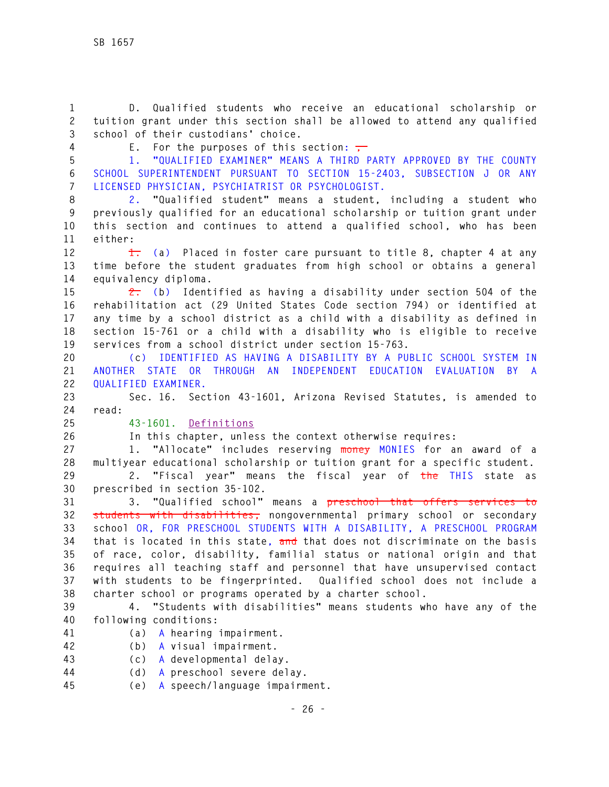**1 D. Qualified students who receive an educational scholarship or 2 tuition grant under this section shall be allowed to attend any qualified 3 school of their custodians' choice.** 

**4** E. For the purposes of this section:  $\frac{1}{10}$ 

**5 1. "QUALIFIED EXAMINER" MEANS A THIRD PARTY APPROVED BY THE COUNTY 6 SCHOOL SUPERINTENDENT PURSUANT TO SECTION 15-2403, SUBSECTION J OR ANY 7 LICENSED PHYSICIAN, PSYCHIATRIST OR PSYCHOLOGIST.** 

**8 2. "Qualified student" means a student, including a student who 9 previously qualified for an educational scholarship or tuition grant under 10 this section and continues to attend a qualified school, who has been 11 either:** 

**12 1. (a) Placed in foster care pursuant to title 8, chapter 4 at any 13 time before the student graduates from high school or obtains a general 14 equivalency diploma.** 

**15 2. (b) Identified as having a disability under section 504 of the 16 rehabilitation act (29 United States Code section 794) or identified at 17 any time by a school district as a child with a disability as defined in 18 section 15-761 or a child with a disability who is eligible to receive 19 services from a school district under section 15-763.** 

**20 (c) IDENTIFIED AS HAVING A DISABILITY BY A PUBLIC SCHOOL SYSTEM IN 21 ANOTHER STATE OR THROUGH AN INDEPENDENT EDUCATION EVALUATION BY A 22 QUALIFIED EXAMINER.** 

**23 Sec. 16. Section 43-1601, Arizona Revised Statutes, is amended to 24 read:** 

**25 43-1601. Definitions**

**26 In this chapter, unless the context otherwise requires:** 

**27 1. "Allocate" includes reserving money MONIES for an award of a 28 multiyear educational scholarship or tuition grant for a specific student.** 

**29 2. "Fiscal year" means the fiscal year of the THIS state as 30 prescribed in section 35-102.** 

**31 3. "Qualified school" means a preschool that offers services to 32 students with disabilities, nongovernmental primary school or secondary 33 school OR, FOR PRESCHOOL STUDENTS WITH A DISABILITY, A PRESCHOOL PROGRAM 34 that is located in this state, and that does not discriminate on the basis 35 of race, color, disability, familial status or national origin and that 36 requires all teaching staff and personnel that have unsupervised contact 37 with students to be fingerprinted. Qualified school does not include a 38 charter school or programs operated by a charter school.** 

**39 4. "Students with disabilities" means students who have any of the 40 following conditions:** 

- - **41 (a) A hearing impairment.**
	- **42 (b) A visual impairment.**
	- **43 (c) A developmental delay.**
	- **44 (d) A preschool severe delay.**
	- **45 (e) A speech/language impairment.**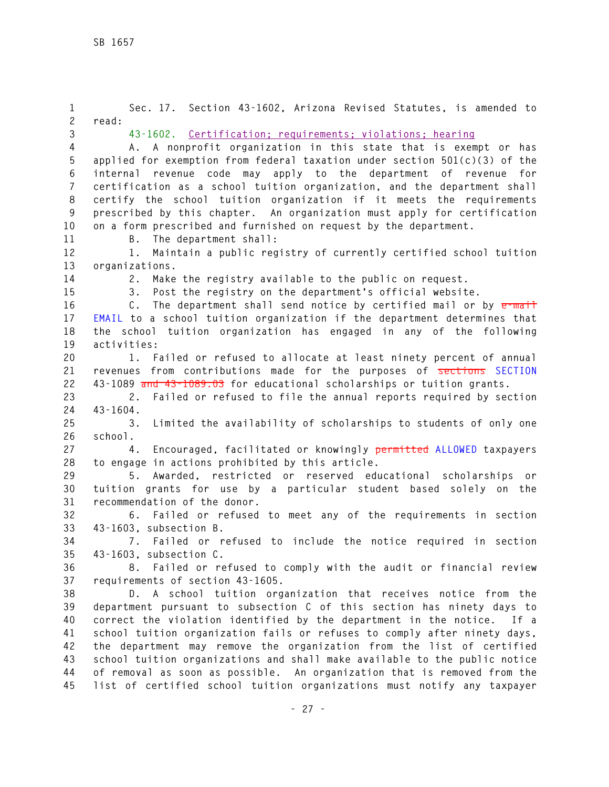**1 Sec. 17. Section 43-1602, Arizona Revised Statutes, is amended to 2 read: 3 43-1602. Certification; requirements; violations; hearing 4 A. A nonprofit organization in this state that is exempt or has 5 applied for exemption from federal taxation under section 501(c)(3) of the 6 internal revenue code may apply to the department of revenue for 7 certification as a school tuition organization, and the department shall 8 certify the school tuition organization if it meets the requirements 9 prescribed by this chapter. An organization must apply for certification 10 on a form prescribed and furnished on request by the department. 11 B. The department shall: 12 1. Maintain a public registry of currently certified school tuition 13 organizations. 14 2. Make the registry available to the public on request. 15 3. Post the registry on the department's official website. 16 C. The department shall send notice by certified mail or by e-mail 17 EMAIL to a school tuition organization if the department determines that 18 the school tuition organization has engaged in any of the following 19 activities: 20 1. Failed or refused to allocate at least ninety percent of annual 21 revenues from contributions made for the purposes of sections SECTION 22 43-1089 and 43-1089.03 for educational scholarships or tuition grants. 23 2. Failed or refused to file the annual reports required by section 24 43-1604. 25 3. Limited the availability of scholarships to students of only one 26 school. 27 4. Encouraged, facilitated or knowingly permitted ALLOWED taxpayers 28 to engage in actions prohibited by this article. 29 5. Awarded, restricted or reserved educational scholarships or 30 tuition grants for use by a particular student based solely on the 31 recommendation of the donor. 32 6. Failed or refused to meet any of the requirements in section 33 43-1603, subsection B. 34 7. Failed or refused to include the notice required in section 35 43-1603, subsection C. 36 8. Failed or refused to comply with the audit or financial review 37 requirements of section 43-1605. 38 D. A school tuition organization that receives notice from the 39 department pursuant to subsection C of this section has ninety days to 40 correct the violation identified by the department in the notice. If a 41 school tuition organization fails or refuses to comply after ninety days, 42 the department may remove the organization from the list of certified 43 school tuition organizations and shall make available to the public notice 44 of removal as soon as possible. An organization that is removed from the 45 list of certified school tuition organizations must notify any taxpayer**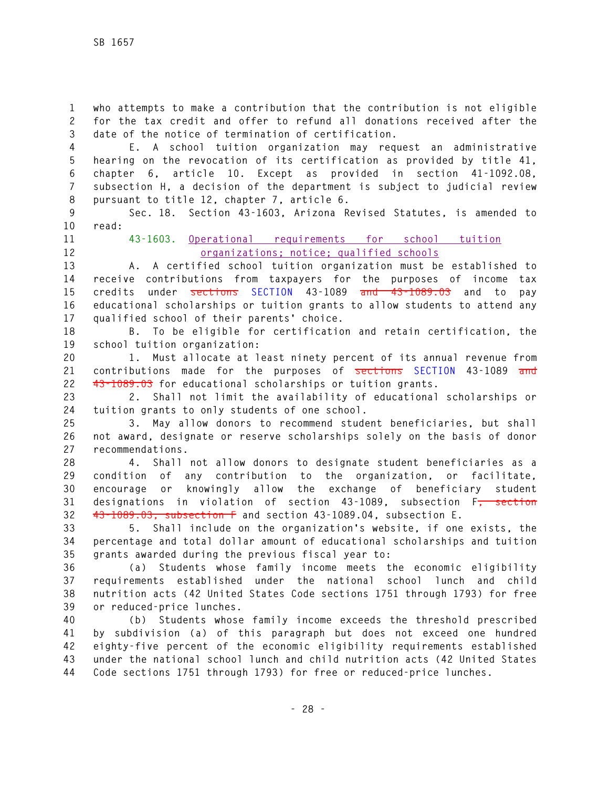**1 who attempts to make a contribution that the contribution is not eligible 2 for the tax credit and offer to refund all donations received after the 3 date of the notice of termination of certification.** 

**4 E. A school tuition organization may request an administrative 5 hearing on the revocation of its certification as provided by title 41, 6 chapter 6, article 10. Except as provided in section 41-1092.08, 7 subsection H, a decision of the department is subject to judicial review 8 pursuant to title 12, chapter 7, article 6.** 

**9 Sec. 18. Section 43-1603, Arizona Revised Statutes, is amended to 10 read:** 

## **11 43-1603. Operational requirements for school tuition 12 organizations; notice; qualified schools**

**13 A. A certified school tuition organization must be established to 14 receive contributions from taxpayers for the purposes of income tax 15 credits under sections SECTION 43-1089 and 43-1089.03 and to pay 16 educational scholarships or tuition grants to allow students to attend any 17 qualified school of their parents' choice.** 

**18 B. To be eligible for certification and retain certification, the 19 school tuition organization:** 

**20 1. Must allocate at least ninety percent of its annual revenue from 21 contributions made for the purposes of sections SECTION 43-1089 and 22 43-1089.03 for educational scholarships or tuition grants.** 

**23 2. Shall not limit the availability of educational scholarships or 24 tuition grants to only students of one school.** 

**25 3. May allow donors to recommend student beneficiaries, but shall 26 not award, designate or reserve scholarships solely on the basis of donor 27 recommendations.** 

**28 4. Shall not allow donors to designate student beneficiaries as a 29 condition of any contribution to the organization, or facilitate, 30 encourage or knowingly allow the exchange of beneficiary student 31 designations in violation of section 43-1089, subsection F, section 32 43-1089.03, subsection F and section 43-1089.04, subsection E.** 

**33 5. Shall include on the organization's website, if one exists, the 34 percentage and total dollar amount of educational scholarships and tuition 35 grants awarded during the previous fiscal year to:** 

**36 (a) Students whose family income meets the economic eligibility 37 requirements established under the national school lunch and child 38 nutrition acts (42 United States Code sections 1751 through 1793) for free 39 or reduced-price lunches.** 

**40 (b) Students whose family income exceeds the threshold prescribed 41 by subdivision (a) of this paragraph but does not exceed one hundred 42 eighty-five percent of the economic eligibility requirements established 43 under the national school lunch and child nutrition acts (42 United States 44 Code sections 1751 through 1793) for free or reduced-price lunches.**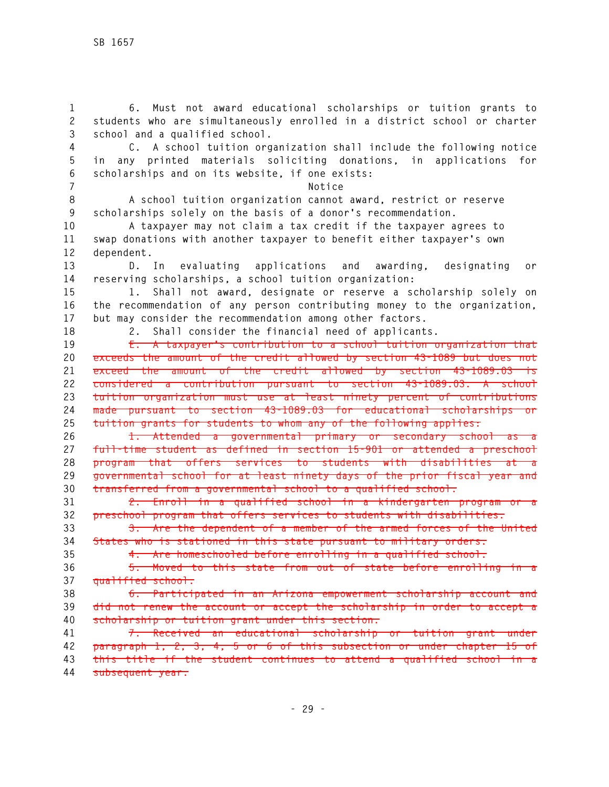**1 6. Must not award educational scholarships or tuition grants to 2 students who are simultaneously enrolled in a district school or charter 3 school and a qualified school. 4 C. A school tuition organization shall include the following notice 5 in any printed materials soliciting donations, in applications for 6 scholarships and on its website, if one exists: 7 Notice 8 A school tuition organization cannot award, restrict or reserve 9 scholarships solely on the basis of a donor's recommendation. 10 A taxpayer may not claim a tax credit if the taxpayer agrees to 11 swap donations with another taxpayer to benefit either taxpayer's own 12 dependent. 13 D. In evaluating applications and awarding, designating or 14 reserving scholarships, a school tuition organization: 15 1. Shall not award, designate or reserve a scholarship solely on 16 the recommendation of any person contributing money to the organization, 17 but may consider the recommendation among other factors. 18 2. Shall consider the financial need of applicants. 19 E. A taxpayer's contribution to a school tuition organization that 20 exceeds the amount of the credit allowed by section 43-1089 but does not 21 exceed the amount of the credit allowed by section 43-1089.03 is 22 considered a contribution pursuant to section 43-1089.03. A school 23 tuition organization must use at least ninety percent of contributions 24 made pursuant to section 43-1089.03 for educational scholarships or 25 tuition grants for students to whom any of the following applies: 26 1. Attended a governmental primary or secondary school as a 27 full-time student as defined in section 15-901 or attended a preschool 28 program that offers services to students with disabilities at a 29 governmental school for at least ninety days of the prior fiscal year and 30 transferred from a governmental school to a qualified school. 31 2. Enroll in a qualified school in a kindergarten program or a 32 preschool program that offers services to students with disabilities. 33 3. Are the dependent of a member of the armed forces of the United 34 States who is stationed in this state pursuant to military orders. 35 4. Are homeschooled before enrolling in a qualified school. 36 5. Moved to this state from out of state before enrolling in a 37 qualified school. 38 6. Participated in an Arizona empowerment scholarship account and 39 did not renew the account or accept the scholarship in order to accept a 40 scholarship or tuition grant under this section. 41 7. Received an educational scholarship or tuition grant under 42 paragraph 1, 2, 3, 4, 5 or 6 of this subsection or under chapter 15 of 43 this title if the student continues to attend a qualified school in a 44 subsequent year.**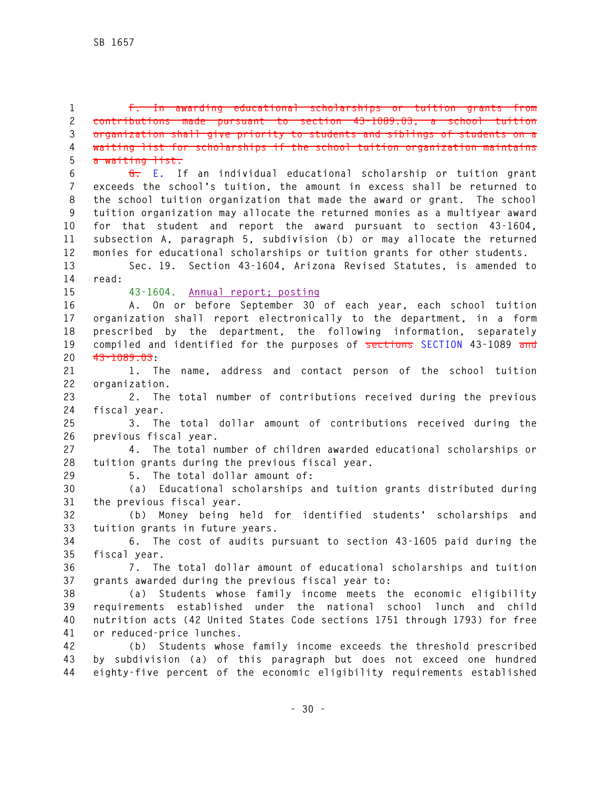**1 F. In awarding educational scholarships or tuition grants from 2 contributions made pursuant to section 43-1089.03, a school tuition 3 organization shall give priority to students and siblings of students on a 4 waiting list for scholarships if the school tuition organization maintains 5 a waiting list.** 

**6 G. E. If an individual educational scholarship or tuition grant 7 exceeds the school's tuition, the amount in excess shall be returned to 8 the school tuition organization that made the award or grant. The school 9 tuition organization may allocate the returned monies as a multiyear award 10 for that student and report the award pursuant to section 43-1604, 11 subsection A, paragraph 5, subdivision (b) or may allocate the returned 12 monies for educational scholarships or tuition grants for other students.** 

**13 Sec. 19. Section 43-1604, Arizona Revised Statutes, is amended to 14 read:** 

**15 43-1604. Annual report; posting**

**16 A. On or before September 30 of each year, each school tuition 17 organization shall report electronically to the department, in a form 18 prescribed by the department, the following information, separately 19 compiled and identified for the purposes of sections SECTION 43-1089 and 20 43-1089.03:** 

**21 1. The name, address and contact person of the school tuition 22 organization.** 

**23 2. The total number of contributions received during the previous 24 fiscal year.** 

**25 3. The total dollar amount of contributions received during the 26 previous fiscal year.** 

**27 4. The total number of children awarded educational scholarships or 28 tuition grants during the previous fiscal year.** 

**29 5. The total dollar amount of:** 

**30 (a) Educational scholarships and tuition grants distributed during 31 the previous fiscal year.** 

**32 (b) Money being held for identified students' scholarships and 33 tuition grants in future years.** 

**34 6. The cost of audits pursuant to section 43-1605 paid during the 35 fiscal year.** 

**36 7. The total dollar amount of educational scholarships and tuition 37 grants awarded during the previous fiscal year to:** 

**38 (a) Students whose family income meets the economic eligibility 39 requirements established under the national school lunch and child 40 nutrition acts (42 United States Code sections 1751 through 1793) for free 41 or reduced-price lunches.**

**42 (b) Students whose family income exceeds the threshold prescribed 43 by subdivision (a) of this paragraph but does not exceed one hundred 44 eighty-five percent of the economic eligibility requirements established**